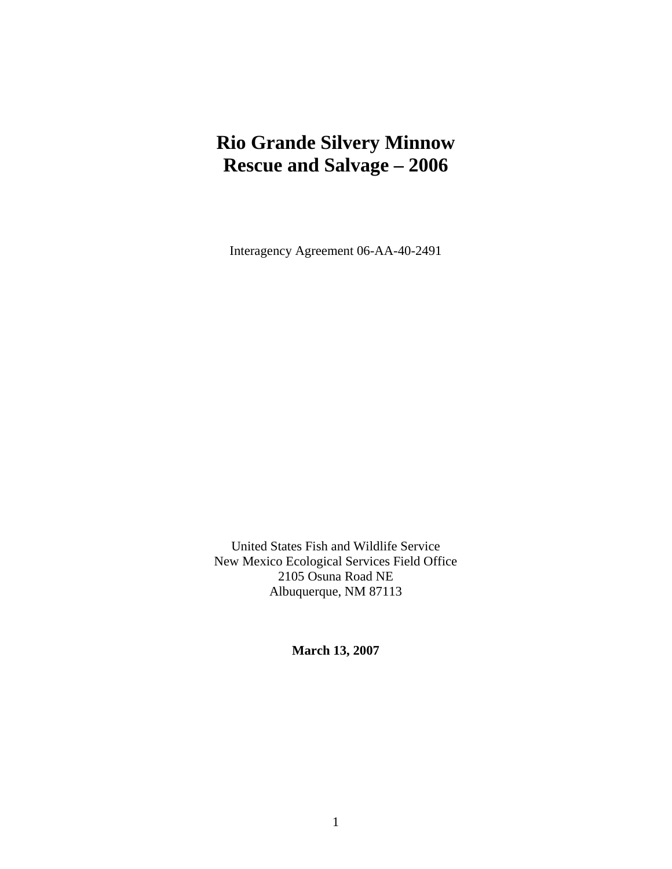# **Rio Grande Silvery Minnow Rescue and Salvage – 2006**

Interagency Agreement 06-AA-40-2491

United States Fish and Wildlife Service New Mexico Ecological Services Field Office 2105 Osuna Road NE Albuquerque, NM 87113

**March 13, 2007**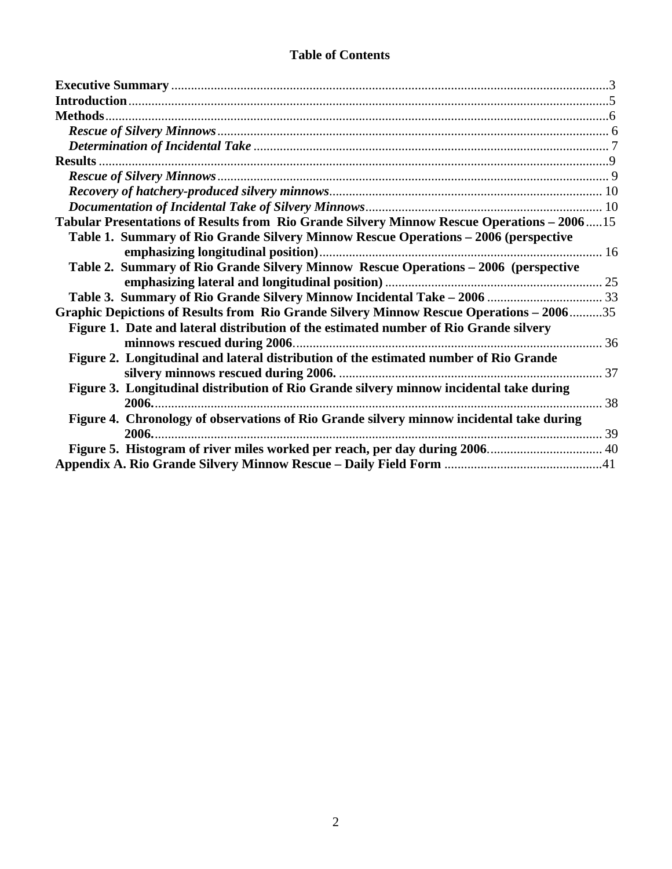| Tabular Presentations of Results from Rio Grande Silvery Minnow Rescue Operations - 200615 |  |
|--------------------------------------------------------------------------------------------|--|
| Table 1. Summary of Rio Grande Silvery Minnow Rescue Operations - 2006 (perspective        |  |
|                                                                                            |  |
| Table 2. Summary of Rio Grande Silvery Minnow Rescue Operations - 2006 (perspective        |  |
|                                                                                            |  |
|                                                                                            |  |
| Graphic Depictions of Results from Rio Grande Silvery Minnow Rescue Operations - 200635    |  |
| Figure 1. Date and lateral distribution of the estimated number of Rio Grande silvery      |  |
|                                                                                            |  |
| Figure 2. Longitudinal and lateral distribution of the estimated number of Rio Grande      |  |
|                                                                                            |  |
| Figure 3. Longitudinal distribution of Rio Grande silvery minnow incidental take during    |  |
|                                                                                            |  |
| Figure 4. Chronology of observations of Rio Grande silvery minnow incidental take during   |  |
|                                                                                            |  |
|                                                                                            |  |
|                                                                                            |  |

### **Table of Contents**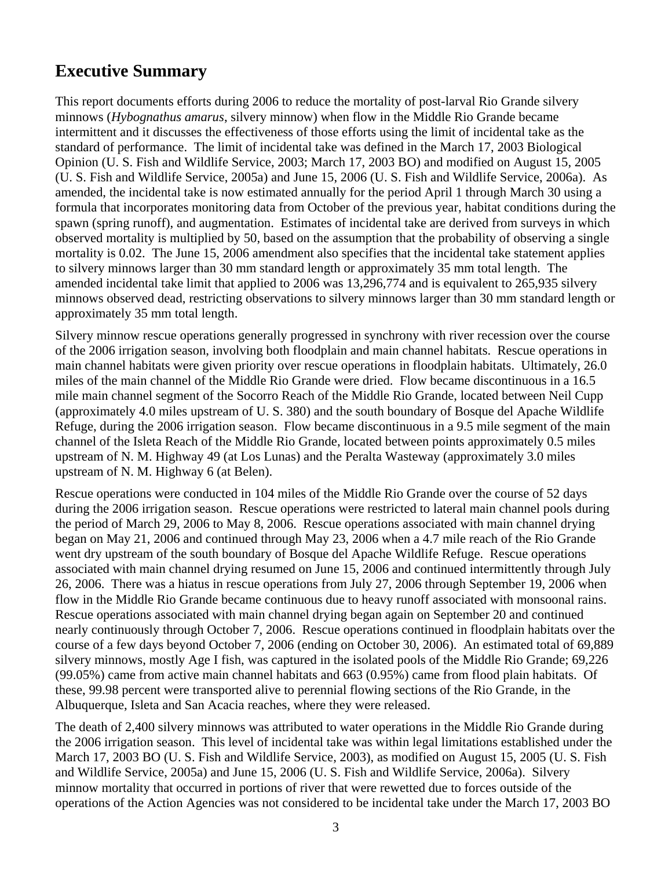## <span id="page-2-0"></span>**Executive Summary**

This report documents efforts during 2006 to reduce the mortality of post-larval Rio Grande silvery minnows (*Hybognathus amarus*, silvery minnow) when flow in the Middle Rio Grande became intermittent and it discusses the effectiveness of those efforts using the limit of incidental take as the standard of performance. The limit of incidental take was defined in the March 17, 2003 Biological Opinion (U. S. Fish and Wildlife Service, 2003; March 17, 2003 BO) and modified on August 15, 2005 (U. S. Fish and Wildlife Service, 2005a) and June 15, 2006 (U. S. Fish and Wildlife Service, 2006a). As amended, the incidental take is now estimated annually for the period April 1 through March 30 using a formula that incorporates monitoring data from October of the previous year, habitat conditions during the spawn (spring runoff), and augmentation. Estimates of incidental take are derived from surveys in which observed mortality is multiplied by 50, based on the assumption that the probability of observing a single mortality is 0.02. The June 15, 2006 amendment also specifies that the incidental take statement applies to silvery minnows larger than 30 mm standard length or approximately 35 mm total length. The amended incidental take limit that applied to 2006 was 13,296,774 and is equivalent to 265,935 silvery minnows observed dead, restricting observations to silvery minnows larger than 30 mm standard length or approximately 35 mm total length.

Silvery minnow rescue operations generally progressed in synchrony with river recession over the course of the 2006 irrigation season, involving both floodplain and main channel habitats. Rescue operations in main channel habitats were given priority over rescue operations in floodplain habitats. Ultimately, 26.0 miles of the main channel of the Middle Rio Grande were dried. Flow became discontinuous in a 16.5 mile main channel segment of the Socorro Reach of the Middle Rio Grande, located between Neil Cupp (approximately 4.0 miles upstream of U. S. 380) and the south boundary of Bosque del Apache Wildlife Refuge, during the 2006 irrigation season. Flow became discontinuous in a 9.5 mile segment of the main channel of the Isleta Reach of the Middle Rio Grande, located between points approximately 0.5 miles upstream of N. M. Highway 49 (at Los Lunas) and the Peralta Wasteway (approximately 3.0 miles upstream of N. M. Highway 6 (at Belen).

Rescue operations were conducted in 104 miles of the Middle Rio Grande over the course of 52 days during the 2006 irrigation season. Rescue operations were restricted to lateral main channel pools during the period of March 29, 2006 to May 8, 2006. Rescue operations associated with main channel drying began on May 21, 2006 and continued through May 23, 2006 when a 4.7 mile reach of the Rio Grande went dry upstream of the south boundary of Bosque del Apache Wildlife Refuge. Rescue operations associated with main channel drying resumed on June 15, 2006 and continued intermittently through July 26, 2006. There was a hiatus in rescue operations from July 27, 2006 through September 19, 2006 when flow in the Middle Rio Grande became continuous due to heavy runoff associated with monsoonal rains. Rescue operations associated with main channel drying began again on September 20 and continued nearly continuously through October 7, 2006. Rescue operations continued in floodplain habitats over the course of a few days beyond October 7, 2006 (ending on October 30, 2006). An estimated total of 69,889 silvery minnows, mostly Age I fish, was captured in the isolated pools of the Middle Rio Grande; 69,226 (99.05%) came from active main channel habitats and 663 (0.95%) came from flood plain habitats. Of these, 99.98 percent were transported alive to perennial flowing sections of the Rio Grande, in the Albuquerque, Isleta and San Acacia reaches, where they were released.

The death of 2,400 silvery minnows was attributed to water operations in the Middle Rio Grande during the 2006 irrigation season. This level of incidental take was within legal limitations established under the March 17, 2003 BO (U. S. Fish and Wildlife Service, 2003), as modified on August 15, 2005 (U. S. Fish and Wildlife Service, 2005a) and June 15, 2006 (U. S. Fish and Wildlife Service, 2006a). Silvery minnow mortality that occurred in portions of river that were rewetted due to forces outside of the operations of the Action Agencies was not considered to be incidental take under the March 17, 2003 BO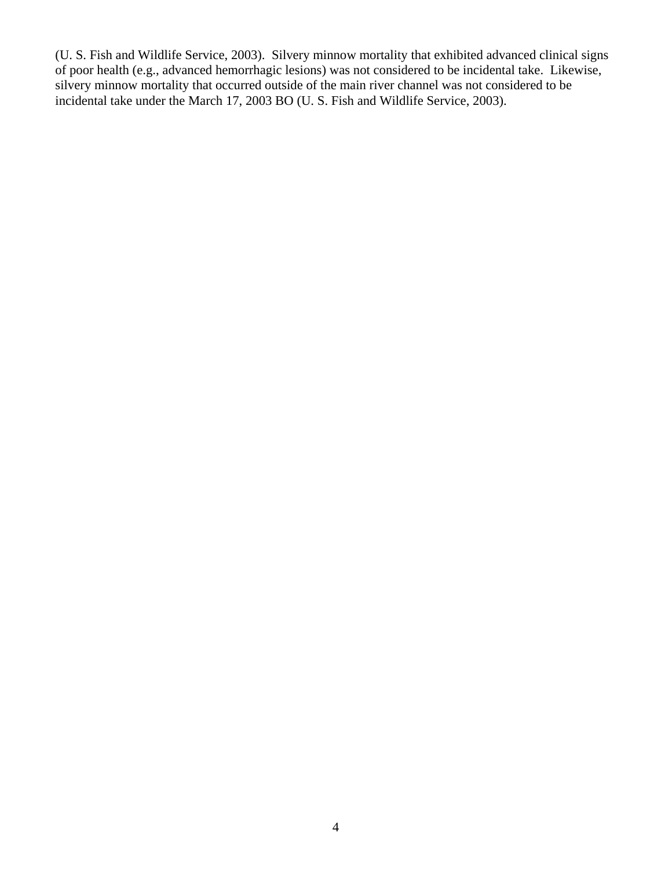(U. S. Fish and Wildlife Service, 2003). Silvery minnow mortality that exhibited advanced clinical signs of poor health (e.g., advanced hemorrhagic lesions) was not considered to be incidental take. Likewise, silvery minnow mortality that occurred outside of the main river channel was not considered to be incidental take under the March 17, 2003 BO (U. S. Fish and Wildlife Service, 2003).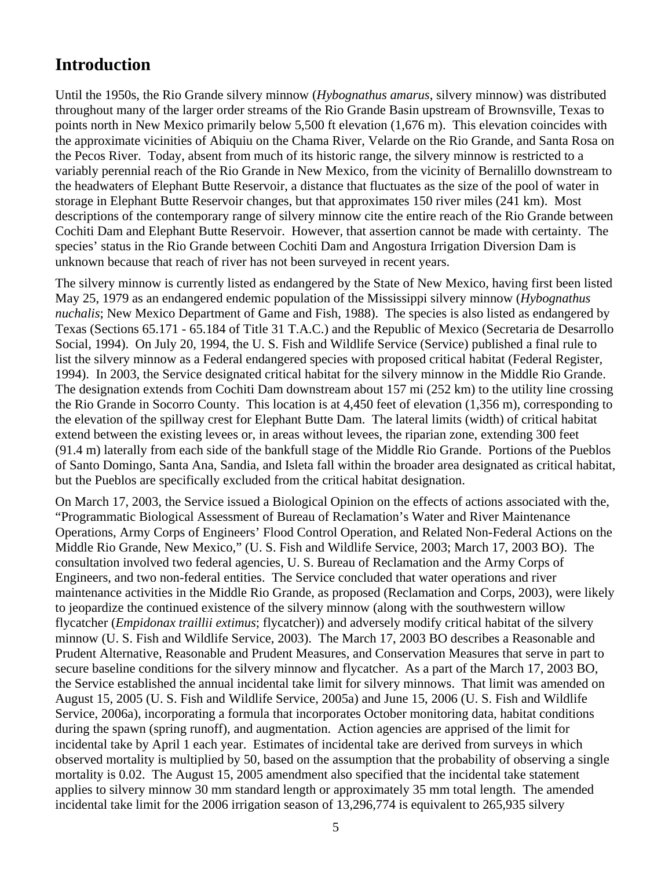## <span id="page-4-0"></span>**Introduction**

Until the 1950s, the Rio Grande silvery minnow (*Hybognathus amarus*, silvery minnow) was distributed throughout many of the larger order streams of the Rio Grande Basin upstream of Brownsville, Texas to points north in New Mexico primarily below 5,500 ft elevation (1,676 m). This elevation coincides with the approximate vicinities of Abiquiu on the Chama River, Velarde on the Rio Grande, and Santa Rosa on the Pecos River. Today, absent from much of its historic range, the silvery minnow is restricted to a variably perennial reach of the Rio Grande in New Mexico, from the vicinity of Bernalillo downstream to the headwaters of Elephant Butte Reservoir, a distance that fluctuates as the size of the pool of water in storage in Elephant Butte Reservoir changes, but that approximates 150 river miles (241 km). Most descriptions of the contemporary range of silvery minnow cite the entire reach of the Rio Grande between Cochiti Dam and Elephant Butte Reservoir. However, that assertion cannot be made with certainty. The species' status in the Rio Grande between Cochiti Dam and Angostura Irrigation Diversion Dam is unknown because that reach of river has not been surveyed in recent years.

The silvery minnow is currently listed as endangered by the State of New Mexico, having first been listed May 25, 1979 as an endangered endemic population of the Mississippi silvery minnow (*Hybognathus nuchalis*; New Mexico Department of Game and Fish, 1988). The species is also listed as endangered by Texas (Sections 65.171 - 65.184 of Title 31 T.A.C.) and the Republic of Mexico (Secretaria de Desarrollo Social, 1994). On July 20, 1994, the U. S. Fish and Wildlife Service (Service) published a final rule to list the silvery minnow as a Federal endangered species with proposed critical habitat (Federal Register, 1994). In 2003, the Service designated critical habitat for the silvery minnow in the Middle Rio Grande. The designation extends from Cochiti Dam downstream about 157 mi (252 km) to the utility line crossing the Rio Grande in Socorro County. This location is at 4,450 feet of elevation (1,356 m), corresponding to the elevation of the spillway crest for Elephant Butte Dam. The lateral limits (width) of critical habitat extend between the existing levees or, in areas without levees, the riparian zone, extending 300 feet (91.4 m) laterally from each side of the bankfull stage of the Middle Rio Grande. Portions of the Pueblos of Santo Domingo, Santa Ana, Sandia, and Isleta fall within the broader area designated as critical habitat, but the Pueblos are specifically excluded from the critical habitat designation.

On March 17, 2003, the Service issued a Biological Opinion on the effects of actions associated with the, "Programmatic Biological Assessment of Bureau of Reclamation's Water and River Maintenance Operations, Army Corps of Engineers' Flood Control Operation, and Related Non-Federal Actions on the Middle Rio Grande, New Mexico," (U. S. Fish and Wildlife Service, 2003; March 17, 2003 BO). The consultation involved two federal agencies, U. S. Bureau of Reclamation and the Army Corps of Engineers, and two non-federal entities. The Service concluded that water operations and river maintenance activities in the Middle Rio Grande, as proposed (Reclamation and Corps, 2003), were likely to jeopardize the continued existence of the silvery minnow (along with the southwestern willow flycatcher (*Empidonax traillii extimus*; flycatcher)) and adversely modify critical habitat of the silvery minnow (U. S. Fish and Wildlife Service, 2003). The March 17, 2003 BO describes a Reasonable and Prudent Alternative, Reasonable and Prudent Measures, and Conservation Measures that serve in part to secure baseline conditions for the silvery minnow and flycatcher. As a part of the March 17, 2003 BO, the Service established the annual incidental take limit for silvery minnows. That limit was amended on August 15, 2005 (U. S. Fish and Wildlife Service, 2005a) and June 15, 2006 (U. S. Fish and Wildlife Service, 2006a), incorporating a formula that incorporates October monitoring data, habitat conditions during the spawn (spring runoff), and augmentation. Action agencies are apprised of the limit for incidental take by April 1 each year. Estimates of incidental take are derived from surveys in which observed mortality is multiplied by 50, based on the assumption that the probability of observing a single mortality is 0.02. The August 15, 2005 amendment also specified that the incidental take statement applies to silvery minnow 30 mm standard length or approximately 35 mm total length. The amended incidental take limit for the 2006 irrigation season of 13,296,774 is equivalent to 265,935 silvery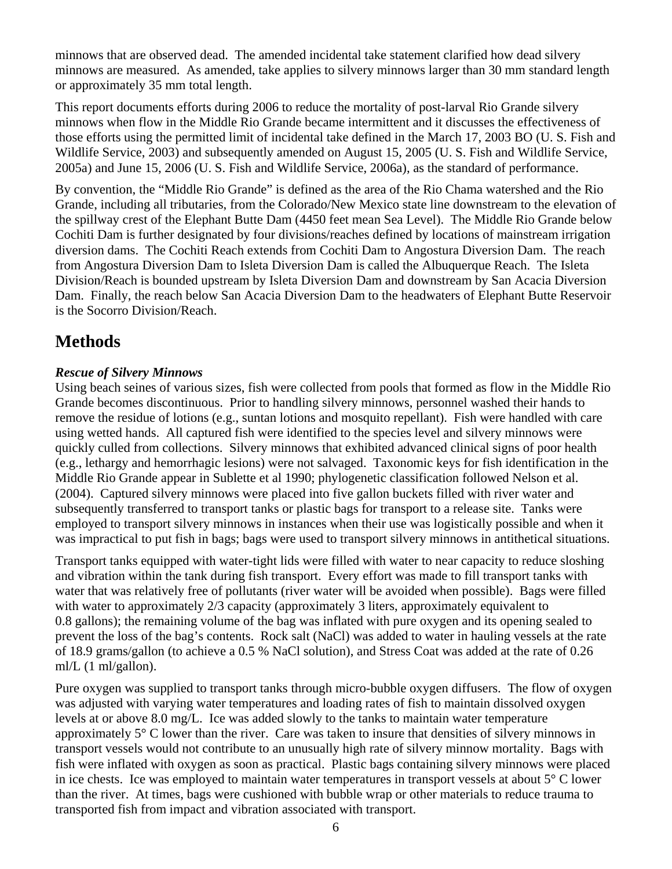<span id="page-5-0"></span>minnows that are observed dead. The amended incidental take statement clarified how dead silvery minnows are measured. As amended, take applies to silvery minnows larger than 30 mm standard length or approximately 35 mm total length.

This report documents efforts during 2006 to reduce the mortality of post-larval Rio Grande silvery minnows when flow in the Middle Rio Grande became intermittent and it discusses the effectiveness of those efforts using the permitted limit of incidental take defined in the March 17, 2003 BO (U. S. Fish and Wildlife Service, 2003) and subsequently amended on August 15, 2005 (U. S. Fish and Wildlife Service, 2005a) and June 15, 2006 (U. S. Fish and Wildlife Service, 2006a), as the standard of performance.

By convention, the "Middle Rio Grande" is defined as the area of the Rio Chama watershed and the Rio Grande, including all tributaries, from the Colorado/New Mexico state line downstream to the elevation of the spillway crest of the Elephant Butte Dam (4450 feet mean Sea Level). The Middle Rio Grande below Cochiti Dam is further designated by four divisions/reaches defined by locations of mainstream irrigation diversion dams. The Cochiti Reach extends from Cochiti Dam to Angostura Diversion Dam. The reach from Angostura Diversion Dam to Isleta Diversion Dam is called the Albuquerque Reach. The Isleta Division/Reach is bounded upstream by Isleta Diversion Dam and downstream by San Acacia Diversion Dam. Finally, the reach below San Acacia Diversion Dam to the headwaters of Elephant Butte Reservoir is the Socorro Division/Reach.

## **Methods**

#### *Rescue of Silvery Minnows*

Using beach seines of various sizes, fish were collected from pools that formed as flow in the Middle Rio Grande becomes discontinuous. Prior to handling silvery minnows, personnel washed their hands to remove the residue of lotions (e.g., suntan lotions and mosquito repellant). Fish were handled with care using wetted hands. All captured fish were identified to the species level and silvery minnows were quickly culled from collections. Silvery minnows that exhibited advanced clinical signs of poor health (e.g., lethargy and hemorrhagic lesions) were not salvaged. Taxonomic keys for fish identification in the Middle Rio Grande appear in Sublette et al 1990; phylogenetic classification followed Nelson et al. (2004). Captured silvery minnows were placed into five gallon buckets filled with river water and subsequently transferred to transport tanks or plastic bags for transport to a release site. Tanks were employed to transport silvery minnows in instances when their use was logistically possible and when it was impractical to put fish in bags; bags were used to transport silvery minnows in antithetical situations.

Transport tanks equipped with water-tight lids were filled with water to near capacity to reduce sloshing and vibration within the tank during fish transport. Every effort was made to fill transport tanks with water that was relatively free of pollutants (river water will be avoided when possible). Bags were filled with water to approximately 2/3 capacity (approximately 3 liters, approximately equivalent to 0.8 gallons); the remaining volume of the bag was inflated with pure oxygen and its opening sealed to prevent the loss of the bag's contents. Rock salt (NaCl) was added to water in hauling vessels at the rate of 18.9 grams/gallon (to achieve a 0.5 % NaCl solution), and Stress Coat was added at the rate of 0.26 ml/L (1 ml/gallon).

Pure oxygen was supplied to transport tanks through micro-bubble oxygen diffusers. The flow of oxygen was adjusted with varying water temperatures and loading rates of fish to maintain dissolved oxygen levels at or above 8.0 mg/L. Ice was added slowly to the tanks to maintain water temperature approximately 5° C lower than the river. Care was taken to insure that densities of silvery minnows in transport vessels would not contribute to an unusually high rate of silvery minnow mortality. Bags with fish were inflated with oxygen as soon as practical. Plastic bags containing silvery minnows were placed in ice chests. Ice was employed to maintain water temperatures in transport vessels at about 5° C lower than the river. At times, bags were cushioned with bubble wrap or other materials to reduce trauma to transported fish from impact and vibration associated with transport.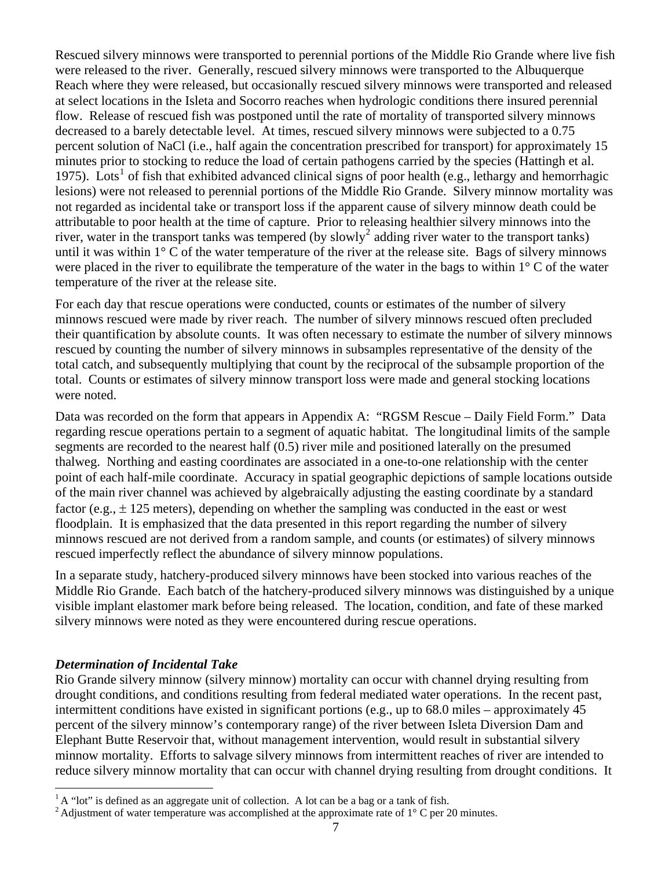<span id="page-6-0"></span>were placed in the river to equilibrate the temperature of the water in the bags to within  $1^{\circ}$  C of the water Rescued silvery minnows were transported to perennial portions of the Middle Rio Grande where live fish were released to the river. Generally, rescued silvery minnows were transported to the Albuquerque Reach where they were released, but occasionally rescued silvery minnows were transported and released at select locations in the Isleta and Socorro reaches when hydrologic conditions there insured perennial flow. Release of rescued fish was postponed until the rate of mortality of transported silvery minnows decreased to a barely detectable level. At times, rescued silvery minnows were subjected to a 0.75 percent solution of NaCl (i.e., half again the concentration prescribed for transport) for approximately 15 minutes prior to stocking to reduce the load of certain pathogens carried by the species (Hattingh et al. [1](#page-6-1)975). Lots<sup>1</sup> of fish that exhibited advanced clinical signs of poor health (e.g., lethargy and hemorrhagic lesions) were not released to perennial portions of the Middle Rio Grande. Silvery minnow mortality was not regarded as incidental take or transport loss if the apparent cause of silvery minnow death could be attributable to poor health at the time of capture. Prior to releasing healthier silvery minnows into the river, water in the transport tanks was tempered (by slowly<sup>[2](#page-6-2)</sup> adding river water to the transport tanks) until it was within 1° C of the water temperature of the river at the release site. Bags of silvery minnows temperature of the river at the release site.

For each day that rescue operations were conducted, counts or estimates of the number of silvery minnows rescued were made by river reach. The number of silvery minnows rescued often precluded their quantification by absolute counts. It was often necessary to estimate the number of silvery minnows rescued by counting the number of silvery minnows in subsamples representative of the density of the total catch, and subsequently multiplying that count by the reciprocal of the subsample proportion of the total. Counts or estimates of silvery minnow transport loss were made and general stocking locations were noted.

Data was recorded on the form that appears in Appendix A: "RGSM Rescue – Daily Field Form." Data regarding rescue operations pertain to a segment of aquatic habitat. The longitudinal limits of the sample segments are recorded to the nearest half (0.5) river mile and positioned laterally on the presumed thalweg. Northing and easting coordinates are associated in a one-to-one relationship with the center point of each half-mile coordinate. Accuracy in spatial geographic depictions of sample locations outside of the main river channel was achieved by algebraically adjusting the easting coordinate by a standard factor (e.g.,  $\pm$  125 meters), depending on whether the sampling was conducted in the east or west floodplain. It is emphasized that the data presented in this report regarding the number of silvery minnows rescued are not derived from a random sample, and counts (or estimates) of silvery minnows rescued imperfectly reflect the abundance of silvery minnow populations.

In a separate study, hatchery-produced silvery minnows have been stocked into various reaches of the Middle Rio Grande. Each batch of the hatchery-produced silvery minnows was distinguished by a unique visible implant elastomer mark before being released. The location, condition, and fate of these marked silvery minnows were noted as they were encountered during rescue operations.

#### *Determination of Incidental Take*

 $\overline{a}$ 

Rio Grande silvery minnow (silvery minnow) mortality can occur with channel drying resulting from drought conditions, and conditions resulting from federal mediated water operations. In the recent past, intermittent conditions have existed in significant portions (e.g., up to 68.0 miles – approximately 45 percent of the silvery minnow's contemporary range) of the river between Isleta Diversion Dam and Elephant Butte Reservoir that, without management intervention, would result in substantial silvery minnow mortality. Efforts to salvage silvery minnows from intermittent reaches of river are intended to reduce silvery minnow mortality that can occur with channel drying resulting from drought conditions. It

 $<sup>1</sup>A$  "lot" is defined as an aggregate unit of collection. A lot can be a bag or a tank of fish.</sup>

<span id="page-6-2"></span><span id="page-6-1"></span><sup>&</sup>lt;sup>2</sup> Adjustment of water temperature was accomplished at the approximate rate of  $1^{\circ}$  C per 20 minutes.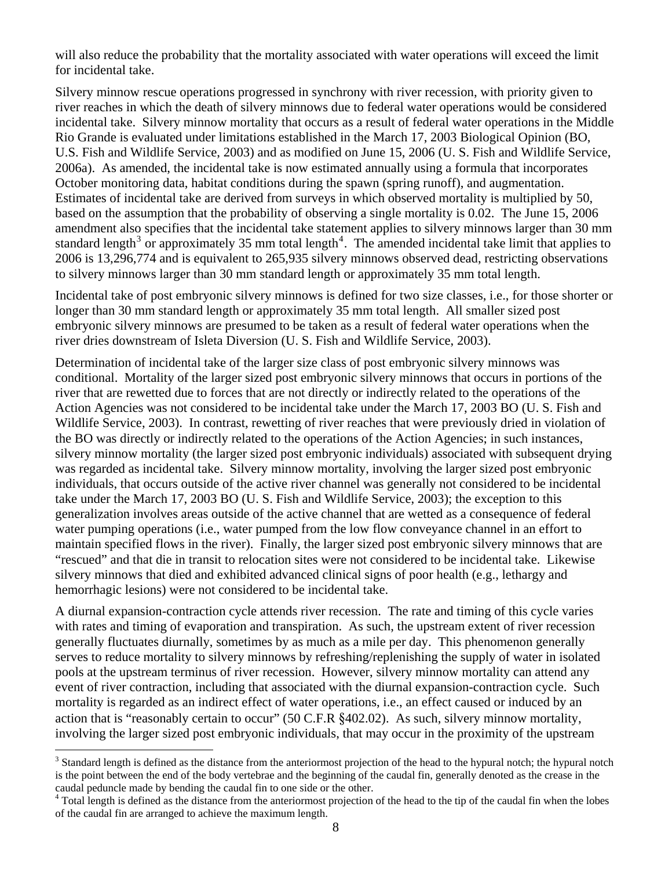will also reduce the probability that the mortality associated with water operations will exceed the limit for incidental take.

Silvery minnow rescue operations progressed in synchrony with river recession, with priority given to river reaches in which the death of silvery minnows due to federal water operations would be considered incidental take. Silvery minnow mortality that occurs as a result of federal water operations in the Middle Rio Grande is evaluated under limitations established in the March 17, 2003 Biological Opinion (BO, U.S. Fish and Wildlife Service, 2003) and as modified on June 15, 2006 (U. S. Fish and Wildlife Service, 2006a). As amended, the incidental take is now estimated annually using a formula that incorporates October monitoring data, habitat conditions during the spawn (spring runoff), and augmentation. Estimates of incidental take are derived from surveys in which observed mortality is multiplied by 50, based on the assumption that the probability of observing a single mortality is 0.02. The June 15, 2006 amendment also specifies that the incidental take statement applies to silvery minnows larger than 30 mm standard length<sup>[3](#page-7-0)</sup> or approximately 35 mm total length<sup>[4](#page-7-1)</sup>. The amended incidental take limit that applies to 2006 is 13,296,774 and is equivalent to 265,935 silvery minnows observed dead, restricting observations to silvery minnows larger than 30 mm standard length or approximately 35 mm total length.

Incidental take of post embryonic silvery minnows is defined for two size classes, i.e., for those shorter or longer than 30 mm standard length or approximately 35 mm total length. All smaller sized post embryonic silvery minnows are presumed to be taken as a result of federal water operations when the river dries downstream of Isleta Diversion (U. S. Fish and Wildlife Service, 2003).

Determination of incidental take of the larger size class of post embryonic silvery minnows was conditional. Mortality of the larger sized post embryonic silvery minnows that occurs in portions of the river that are rewetted due to forces that are not directly or indirectly related to the operations of the Action Agencies was not considered to be incidental take under the March 17, 2003 BO (U. S. Fish and Wildlife Service, 2003). In contrast, rewetting of river reaches that were previously dried in violation of the BO was directly or indirectly related to the operations of the Action Agencies; in such instances, silvery minnow mortality (the larger sized post embryonic individuals) associated with subsequent drying was regarded as incidental take. Silvery minnow mortality, involving the larger sized post embryonic individuals, that occurs outside of the active river channel was generally not considered to be incidental take under the March 17, 2003 BO (U. S. Fish and Wildlife Service, 2003); the exception to this generalization involves areas outside of the active channel that are wetted as a consequence of federal water pumping operations (i.e., water pumped from the low flow conveyance channel in an effort to maintain specified flows in the river). Finally, the larger sized post embryonic silvery minnows that are "rescued" and that die in transit to relocation sites were not considered to be incidental take. Likewise silvery minnows that died and exhibited advanced clinical signs of poor health (e.g., lethargy and hemorrhagic lesions) were not considered to be incidental take.

A diurnal expansion-contraction cycle attends river recession. The rate and timing of this cycle varies with rates and timing of evaporation and transpiration. As such, the upstream extent of river recession generally fluctuates diurnally, sometimes by as much as a mile per day. This phenomenon generally serves to reduce mortality to silvery minnows by refreshing/replenishing the supply of water in isolated pools at the upstream terminus of river recession. However, silvery minnow mortality can attend any event of river contraction, including that associated with the diurnal expansion-contraction cycle. Such mortality is regarded as an indirect effect of water operations, i.e., an effect caused or induced by an action that is "reasonably certain to occur" (50 C.F.R §402.02). As such, silvery minnow mortality, involving the larger sized post embryonic individuals, that may occur in the proximity of the upstream

 $\overline{a}$ 

<span id="page-7-0"></span> $3$  Standard length is defined as the distance from the anteriormost projection of the head to the hypural notch; the hypural notch is the point between the end of the body vertebrae and the beginning of the caudal fin, generally denoted as the crease in the caudal peduncle made by bending the caudal fin to one side or the other.

<span id="page-7-1"></span><sup>&</sup>lt;sup>4</sup> Total length is defined as the distance from the anteriormost projection of the head to the tip of the caudal fin when the lobes of the caudal fin are arranged to achieve the maximum length.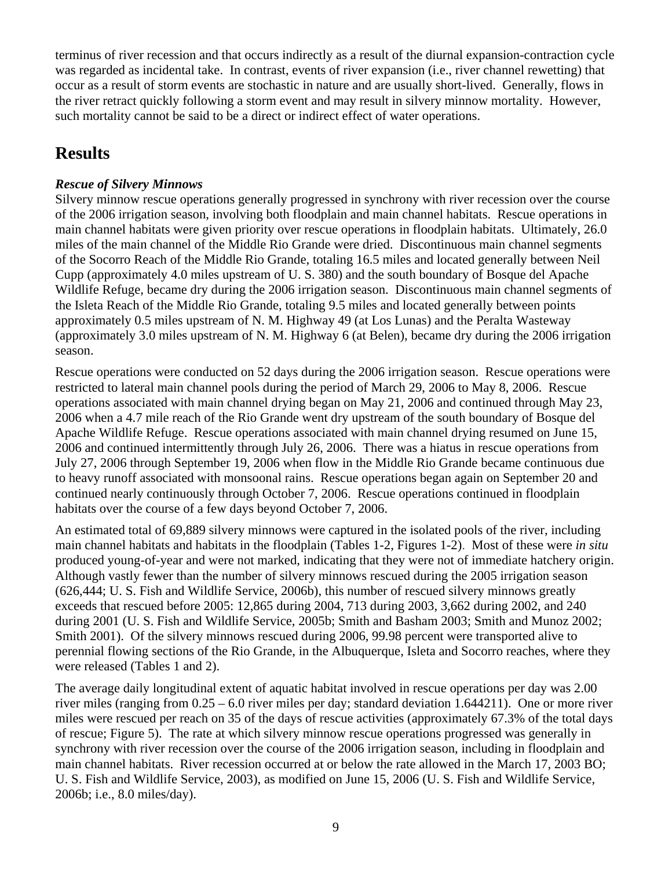<span id="page-8-0"></span>terminus of river recession and that occurs indirectly as a result of the diurnal expansion-contraction cycle was regarded as incidental take. In contrast, events of river expansion (i.e., river channel rewetting) that occur as a result of storm events are stochastic in nature and are usually short-lived. Generally, flows in the river retract quickly following a storm event and may result in silvery minnow mortality. However, such mortality cannot be said to be a direct or indirect effect of water operations.

# **Results**

#### *Rescue of Silvery Minnows*

Silvery minnow rescue operations generally progressed in synchrony with river recession over the course of the 2006 irrigation season, involving both floodplain and main channel habitats. Rescue operations in main channel habitats were given priority over rescue operations in floodplain habitats. Ultimately, 26.0 miles of the main channel of the Middle Rio Grande were dried. Discontinuous main channel segments of the Socorro Reach of the Middle Rio Grande, totaling 16.5 miles and located generally between Neil Cupp (approximately 4.0 miles upstream of U. S. 380) and the south boundary of Bosque del Apache Wildlife Refuge, became dry during the 2006 irrigation season. Discontinuous main channel segments of the Isleta Reach of the Middle Rio Grande, totaling 9.5 miles and located generally between points approximately 0.5 miles upstream of N. M. Highway 49 (at Los Lunas) and the Peralta Wasteway (approximately 3.0 miles upstream of N. M. Highway 6 (at Belen), became dry during the 2006 irrigation season.

Rescue operations were conducted on 52 days during the 2006 irrigation season. Rescue operations were restricted to lateral main channel pools during the period of March 29, 2006 to May 8, 2006. Rescue operations associated with main channel drying began on May 21, 2006 and continued through May 23, 2006 when a 4.7 mile reach of the Rio Grande went dry upstream of the south boundary of Bosque del Apache Wildlife Refuge. Rescue operations associated with main channel drying resumed on June 15, 2006 and continued intermittently through July 26, 2006. There was a hiatus in rescue operations from July 27, 2006 through September 19, 2006 when flow in the Middle Rio Grande became continuous due to heavy runoff associated with monsoonal rains. Rescue operations began again on September 20 and continued nearly continuously through October 7, 2006. Rescue operations continued in floodplain habitats over the course of a few days beyond October 7, 2006.

An estimated total of 69,889 silvery minnows were captured in the isolated pools of the river, including main channel habitats and habitats in the floodplain (Tables 1-2, Figures 1-2). Most of these were *in situ* produced young-of-year and were not marked, indicating that they were not of immediate hatchery origin. Although vastly fewer than the number of silvery minnows rescued during the 2005 irrigation season (626,444; U. S. Fish and Wildlife Service, 2006b), this number of rescued silvery minnows greatly exceeds that rescued before 2005: 12,865 during 2004, 713 during 2003, 3,662 during 2002, and 240 during 2001 (U. S. Fish and Wildlife Service, 2005b; Smith and Basham 2003; Smith and Munoz 2002; Smith 2001). Of the silvery minnows rescued during 2006, 99.98 percent were transported alive to perennial flowing sections of the Rio Grande, in the Albuquerque, Isleta and Socorro reaches, where they were released (Tables 1 and 2).

The average daily longitudinal extent of aquatic habitat involved in rescue operations per day was 2.00 river miles (ranging from 0.25 – 6.0 river miles per day; standard deviation 1.644211). One or more river miles were rescued per reach on 35 of the days of rescue activities (approximately 67.3% of the total days of rescue; Figure 5). The rate at which silvery minnow rescue operations progressed was generally in synchrony with river recession over the course of the 2006 irrigation season, including in floodplain and main channel habitats. River recession occurred at or below the rate allowed in the March 17, 2003 BO; U. S. Fish and Wildlife Service, 2003), as modified on June 15, 2006 (U. S. Fish and Wildlife Service, 2006b; i.e., 8.0 miles/day).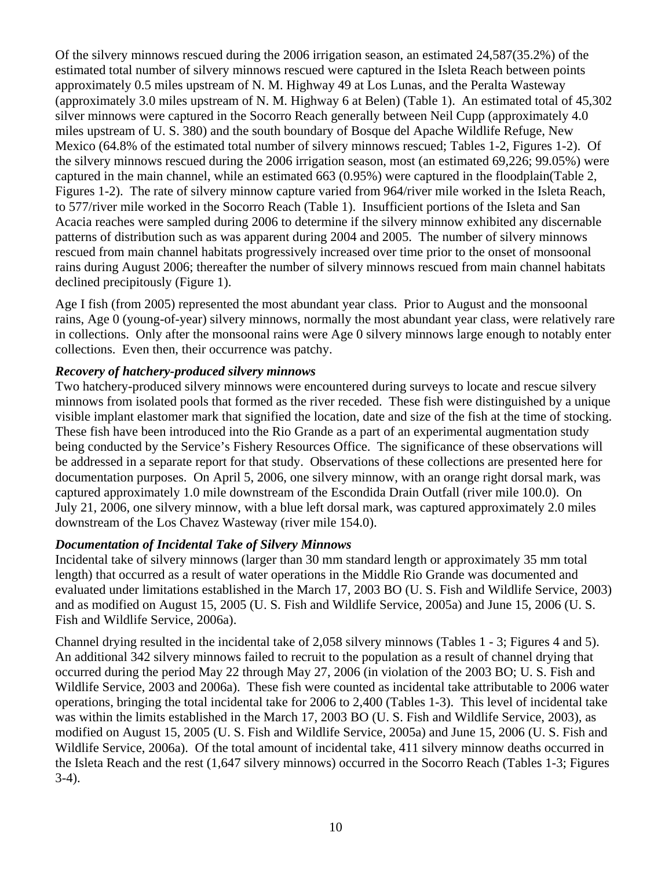<span id="page-9-0"></span>Of the silvery minnows rescued during the 2006 irrigation season, an estimated 24,587(35.2%) of the estimated total number of silvery minnows rescued were captured in the Isleta Reach between points approximately 0.5 miles upstream of N. M. Highway 49 at Los Lunas, and the Peralta Wasteway (approximately 3.0 miles upstream of N. M. Highway 6 at Belen) (Table 1). An estimated total of 45,302 silver minnows were captured in the Socorro Reach generally between Neil Cupp (approximately 4.0 miles upstream of U. S. 380) and the south boundary of Bosque del Apache Wildlife Refuge, New Mexico (64.8% of the estimated total number of silvery minnows rescued; Tables 1-2, Figures 1-2). Of the silvery minnows rescued during the 2006 irrigation season, most (an estimated 69,226; 99.05%) were captured in the main channel, while an estimated 663 (0.95%) were captured in the floodplain(Table 2, Figures 1-2). The rate of silvery minnow capture varied from 964/river mile worked in the Isleta Reach, to 577/river mile worked in the Socorro Reach (Table 1). Insufficient portions of the Isleta and San Acacia reaches were sampled during 2006 to determine if the silvery minnow exhibited any discernable patterns of distribution such as was apparent during 2004 and 2005. The number of silvery minnows rescued from main channel habitats progressively increased over time prior to the onset of monsoonal rains during August 2006; thereafter the number of silvery minnows rescued from main channel habitats declined precipitously (Figure 1).

Age I fish (from 2005) represented the most abundant year class. Prior to August and the monsoonal rains, Age 0 (young-of-year) silvery minnows, normally the most abundant year class, were relatively rare in collections. Only after the monsoonal rains were Age 0 silvery minnows large enough to notably enter collections. Even then, their occurrence was patchy.

#### *Recovery of hatchery-produced silvery minnows*

Two hatchery-produced silvery minnows were encountered during surveys to locate and rescue silvery minnows from isolated pools that formed as the river receded. These fish were distinguished by a unique visible implant elastomer mark that signified the location, date and size of the fish at the time of stocking. These fish have been introduced into the Rio Grande as a part of an experimental augmentation study being conducted by the Service's Fishery Resources Office. The significance of these observations will be addressed in a separate report for that study. Observations of these collections are presented here for documentation purposes. On April 5, 2006, one silvery minnow, with an orange right dorsal mark, was captured approximately 1.0 mile downstream of the Escondida Drain Outfall (river mile 100.0). On July 21, 2006, one silvery minnow, with a blue left dorsal mark, was captured approximately 2.0 miles downstream of the Los Chavez Wasteway (river mile 154.0).

#### *Documentation of Incidental Take of Silvery Minnows*

Incidental take of silvery minnows (larger than 30 mm standard length or approximately 35 mm total length) that occurred as a result of water operations in the Middle Rio Grande was documented and evaluated under limitations established in the March 17, 2003 BO (U. S. Fish and Wildlife Service, 2003) and as modified on August 15, 2005 (U. S. Fish and Wildlife Service, 2005a) and June 15, 2006 (U. S. Fish and Wildlife Service, 2006a).

Channel drying resulted in the incidental take of 2,058 silvery minnows (Tables 1 - 3; Figures 4 and 5). An additional 342 silvery minnows failed to recruit to the population as a result of channel drying that occurred during the period May 22 through May 27, 2006 (in violation of the 2003 BO; U. S. Fish and Wildlife Service, 2003 and 2006a). These fish were counted as incidental take attributable to 2006 water operations, bringing the total incidental take for 2006 to 2,400 (Tables 1-3). This level of incidental take was within the limits established in the March 17, 2003 BO (U. S. Fish and Wildlife Service, 2003), as modified on August 15, 2005 (U. S. Fish and Wildlife Service, 2005a) and June 15, 2006 (U. S. Fish and Wildlife Service, 2006a). Of the total amount of incidental take, 411 silvery minnow deaths occurred in the Isleta Reach and the rest (1,647 silvery minnows) occurred in the Socorro Reach (Tables 1-3; Figures 3-4).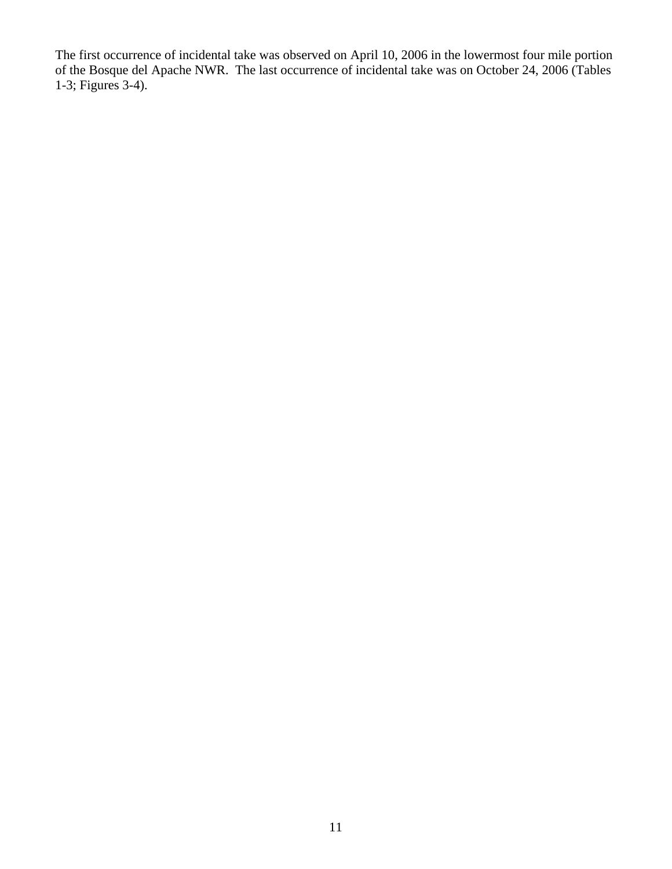The first occurrence of incidental take was observed on April 10, 2006 in the lowermost four mile portion of the Bosque del Apache NWR. The last occurrence of incidental take was on October 24, 2006 (Tables 1-3; Figures 3-4).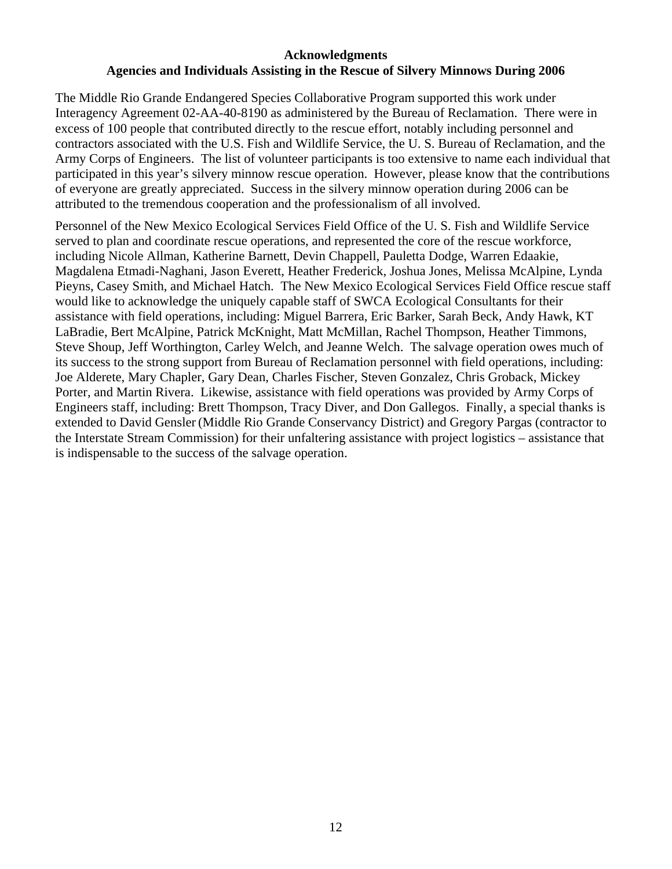#### **Acknowledgments Agencies and Individuals Assisting in the Rescue of Silvery Minnows During 2006**

The Middle Rio Grande Endangered Species Collaborative Program supported this work under Interagency Agreement 02-AA-40-8190 as administered by the Bureau of Reclamation. There were in excess of 100 people that contributed directly to the rescue effort, notably including personnel and contractors associated with the U.S. Fish and Wildlife Service, the U. S. Bureau of Reclamation, and the Army Corps of Engineers. The list of volunteer participants is too extensive to name each individual that participated in this year's silvery minnow rescue operation. However, please know that the contributions of everyone are greatly appreciated. Success in the silvery minnow operation during 2006 can be attributed to the tremendous cooperation and the professionalism of all involved.

Personnel of the New Mexico Ecological Services Field Office of the U. S. Fish and Wildlife Service served to plan and coordinate rescue operations, and represented the core of the rescue workforce, including Nicole Allman, Katherine Barnett, Devin Chappell, Pauletta Dodge, Warren Edaakie, Magdalena Etmadi-Naghani, Jason Everett, Heather Frederick, Joshua Jones, Melissa McAlpine, Lynda Pieyns, Casey Smith, and Michael Hatch. The New Mexico Ecological Services Field Office rescue staff would like to acknowledge the uniquely capable staff of SWCA Ecological Consultants for their assistance with field operations, including: Miguel Barrera, Eric Barker, Sarah Beck, Andy Hawk, KT LaBradie, Bert McAlpine, Patrick McKnight, Matt McMillan, Rachel Thompson, Heather Timmons, Steve Shoup, Jeff Worthington, Carley Welch, and Jeanne Welch. The salvage operation owes much of its success to the strong support from Bureau of Reclamation personnel with field operations, including: Joe Alderete, Mary Chapler, Gary Dean, Charles Fischer, Steven Gonzalez, Chris Groback, Mickey Porter, and Martin Rivera. Likewise, assistance with field operations was provided by Army Corps of Engineers staff, including: Brett Thompson, Tracy Diver, and Don Gallegos. Finally, a special thanks is extended to David Gensler (Middle Rio Grande Conservancy District) and Gregory Pargas (contractor to the Interstate Stream Commission) for their unfaltering assistance with project logistics – assistance that is indispensable to the success of the salvage operation.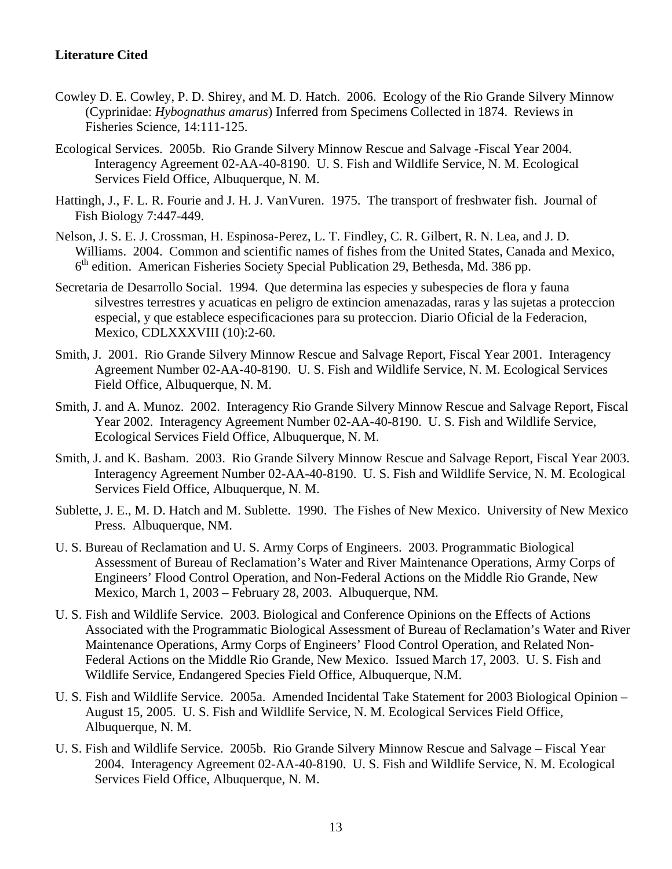#### **Literature Cited**

- Cowley D. E. Cowley, P. D. Shirey, and M. D. Hatch. 2006. Ecology of the Rio Grande Silvery Minnow (Cyprinidae: *Hybognathus amarus*) Inferred from Specimens Collected in 1874. Reviews in Fisheries Science, 14:111-125.
- Ecological Services. 2005b. Rio Grande Silvery Minnow Rescue and Salvage -Fiscal Year 2004. Interagency Agreement 02-AA-40-8190. U. S. Fish and Wildlife Service, N. M. Ecological Services Field Office, Albuquerque, N. M.
- Hattingh, J., F. L. R. Fourie and J. H. J. VanVuren. 1975. The transport of freshwater fish. Journal of Fish Biology 7:447-449.
- Nelson, J. S. E. J. Crossman, H. Espinosa-Perez, L. T. Findley, C. R. Gilbert, R. N. Lea, and J. D. Williams. 2004. Common and scientific names of fishes from the United States, Canada and Mexico, 6<sup>th</sup> edition. American Fisheries Society Special Publication 29, Bethesda, Md. 386 pp.
- Secretaria de Desarrollo Social. 1994. Que determina las especies y subespecies de flora y fauna silvestres terrestres y acuaticas en peligro de extincion amenazadas, raras y las sujetas a proteccion especial, y que establece especificaciones para su proteccion. Diario Oficial de la Federacion, Mexico, CDLXXXVIII (10):2-60.
- Smith, J. 2001. Rio Grande Silvery Minnow Rescue and Salvage Report, Fiscal Year 2001. Interagency Agreement Number 02-AA-40-8190. U. S. Fish and Wildlife Service, N. M. Ecological Services Field Office, Albuquerque, N. M.
- Smith, J. and A. Munoz. 2002. Interagency Rio Grande Silvery Minnow Rescue and Salvage Report, Fiscal Year 2002. Interagency Agreement Number 02-AA-40-8190. U. S. Fish and Wildlife Service, Ecological Services Field Office, Albuquerque, N. M.
- Smith, J. and K. Basham. 2003. Rio Grande Silvery Minnow Rescue and Salvage Report, Fiscal Year 2003. Interagency Agreement Number 02-AA-40-8190. U. S. Fish and Wildlife Service, N. M. Ecological Services Field Office, Albuquerque, N. M.
- Sublette, J. E., M. D. Hatch and M. Sublette. 1990. The Fishes of New Mexico. University of New Mexico Press. Albuquerque, NM.
- U. S. Bureau of Reclamation and U. S. Army Corps of Engineers. 2003. Programmatic Biological Assessment of Bureau of Reclamation's Water and River Maintenance Operations, Army Corps of Engineers' Flood Control Operation, and Non-Federal Actions on the Middle Rio Grande, New Mexico, March 1, 2003 – February 28, 2003. Albuquerque, NM.
- U. S. Fish and Wildlife Service. 2003. Biological and Conference Opinions on the Effects of Actions Associated with the Programmatic Biological Assessment of Bureau of Reclamation's Water and River Maintenance Operations, Army Corps of Engineers' Flood Control Operation, and Related Non-Federal Actions on the Middle Rio Grande, New Mexico. Issued March 17, 2003. U. S. Fish and Wildlife Service, Endangered Species Field Office, Albuquerque, N.M.
- U. S. Fish and Wildlife Service. 2005a. Amended Incidental Take Statement for 2003 Biological Opinion August 15, 2005. U. S. Fish and Wildlife Service, N. M. Ecological Services Field Office, Albuquerque, N. M.
- U. S. Fish and Wildlife Service. 2005b. Rio Grande Silvery Minnow Rescue and Salvage Fiscal Year 2004. Interagency Agreement 02-AA-40-8190. U. S. Fish and Wildlife Service, N. M. Ecological Services Field Office, Albuquerque, N. M.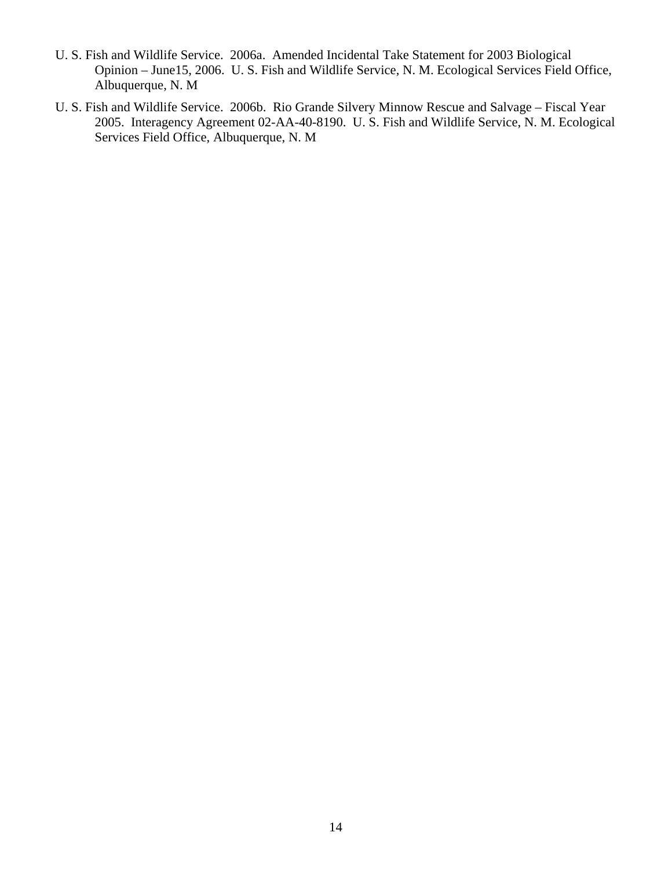- U. S. Fish and Wildlife Service. 2006a. Amended Incidental Take Statement for 2003 Biological Opinion – June15, 2006. U. S. Fish and Wildlife Service, N. M. Ecological Services Field Office, Albuquerque, N. M
- U. S. Fish and Wildlife Service. 2006b. Rio Grande Silvery Minnow Rescue and Salvage Fiscal Year 2005. Interagency Agreement 02-AA-40-8190. U. S. Fish and Wildlife Service, N. M. Ecological Services Field Office, Albuquerque, N. M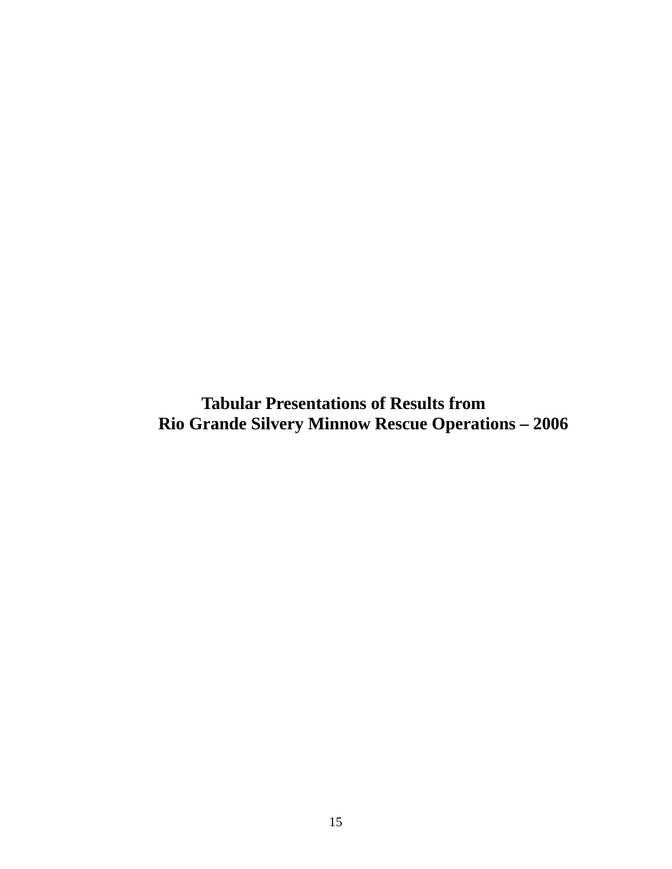<span id="page-14-0"></span>**Tabular Presentations of Results from Rio Grande Silvery Minnow Rescue Operations – 2006**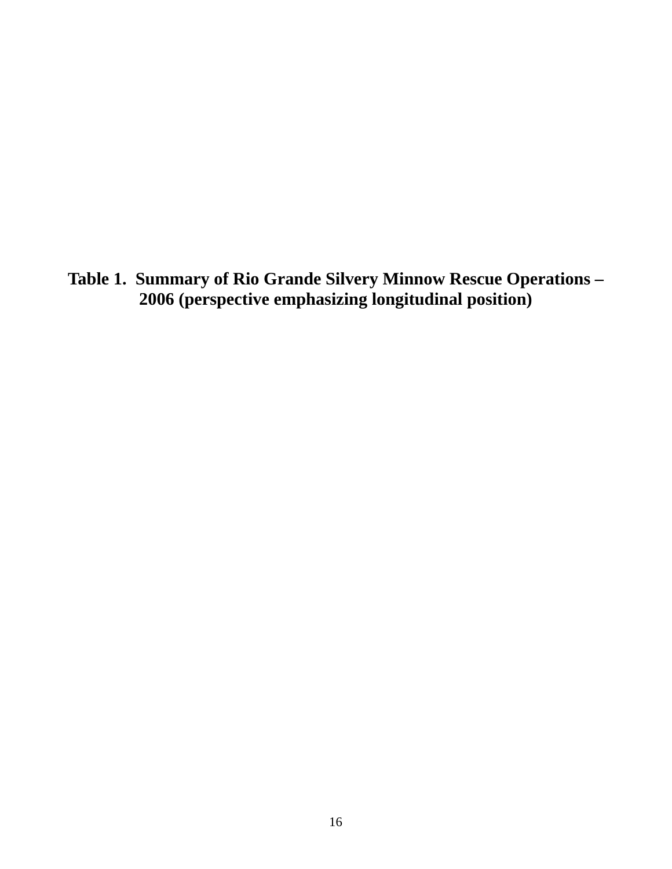<span id="page-15-0"></span>**Table 1. Summary of Rio Grande Silvery Minnow Rescue Operations – 2006 (perspective emphasizing longitudinal position)**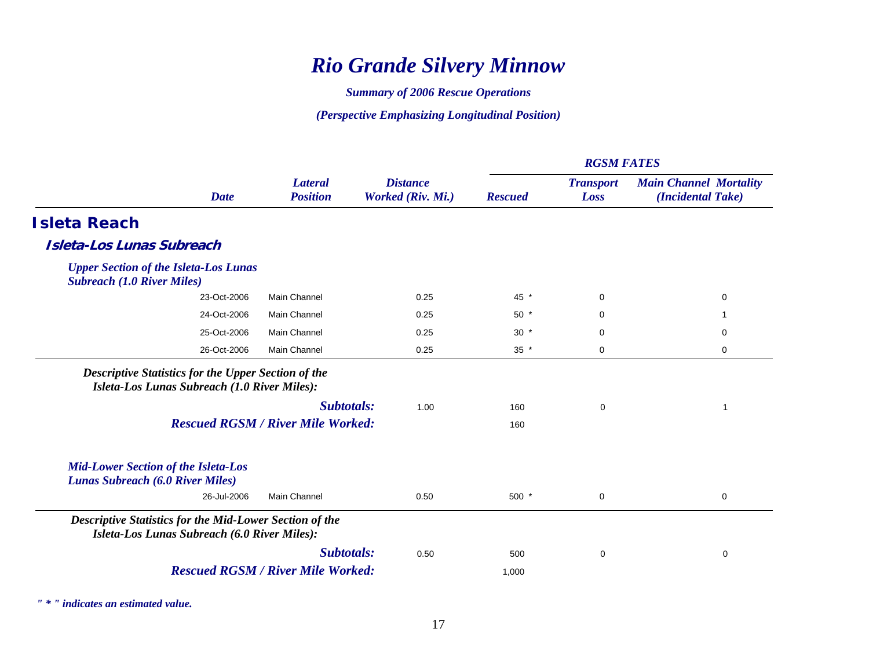# *Rio Grande Silvery Minnow*

*Summary of 2006 Rescue Operations* 

*(Perspective Emphasizing Longitudinal Position)* 

|                                                                                                                |                                          |                                      | <b>RGSM FATES</b> |                          |                                                    |  |
|----------------------------------------------------------------------------------------------------------------|------------------------------------------|--------------------------------------|-------------------|--------------------------|----------------------------------------------------|--|
| <b>Date</b>                                                                                                    | <b>Lateral</b><br><b>Position</b>        | <b>Distance</b><br>Worked (Riv. Mi.) | <b>Rescued</b>    | <b>Transport</b><br>Loss | <b>Main Channel Mortality</b><br>(Incidental Take) |  |
| <b>Isleta Reach</b>                                                                                            |                                          |                                      |                   |                          |                                                    |  |
| <b>Isleta-Los Lunas Subreach</b>                                                                               |                                          |                                      |                   |                          |                                                    |  |
| <b>Upper Section of the Isleta-Los Lunas</b><br><b>Subreach (1.0 River Miles)</b>                              |                                          |                                      |                   |                          |                                                    |  |
| 23-Oct-2006                                                                                                    | <b>Main Channel</b>                      | 0.25                                 | 45 *              | $\mathbf 0$              | 0                                                  |  |
| 24-Oct-2006                                                                                                    | <b>Main Channel</b>                      | 0.25                                 | $50*$             | 0                        |                                                    |  |
| 25-Oct-2006                                                                                                    | <b>Main Channel</b>                      | 0.25                                 | $30 *$            | $\mathbf 0$              | 0                                                  |  |
| 26-Oct-2006                                                                                                    | Main Channel                             | 0.25                                 | $35 *$            | 0                        | 0                                                  |  |
| <b>Descriptive Statistics for the Upper Section of the</b><br>Isleta-Los Lunas Subreach (1.0 River Miles):     |                                          |                                      |                   |                          |                                                    |  |
|                                                                                                                | Subtotals:                               | 1.00                                 | 160               | 0                        | 1                                                  |  |
|                                                                                                                | <b>Rescued RGSM / River Mile Worked:</b> |                                      | 160               |                          |                                                    |  |
| <b>Mid-Lower Section of the Isleta-Los</b><br><b>Lunas Subreach (6.0 River Miles)</b>                          |                                          |                                      |                   |                          |                                                    |  |
| 26-Jul-2006                                                                                                    | <b>Main Channel</b>                      | 0.50                                 | $500*$            | 0                        | 0                                                  |  |
| <b>Descriptive Statistics for the Mid-Lower Section of the</b><br>Isleta-Los Lunas Subreach (6.0 River Miles): |                                          |                                      |                   |                          |                                                    |  |
|                                                                                                                | Subtotals:                               | 0.50                                 | 500               | 0                        | 0                                                  |  |
|                                                                                                                | <b>Rescued RGSM / River Mile Worked:</b> |                                      | 1,000             |                          |                                                    |  |
|                                                                                                                |                                          |                                      |                   |                          |                                                    |  |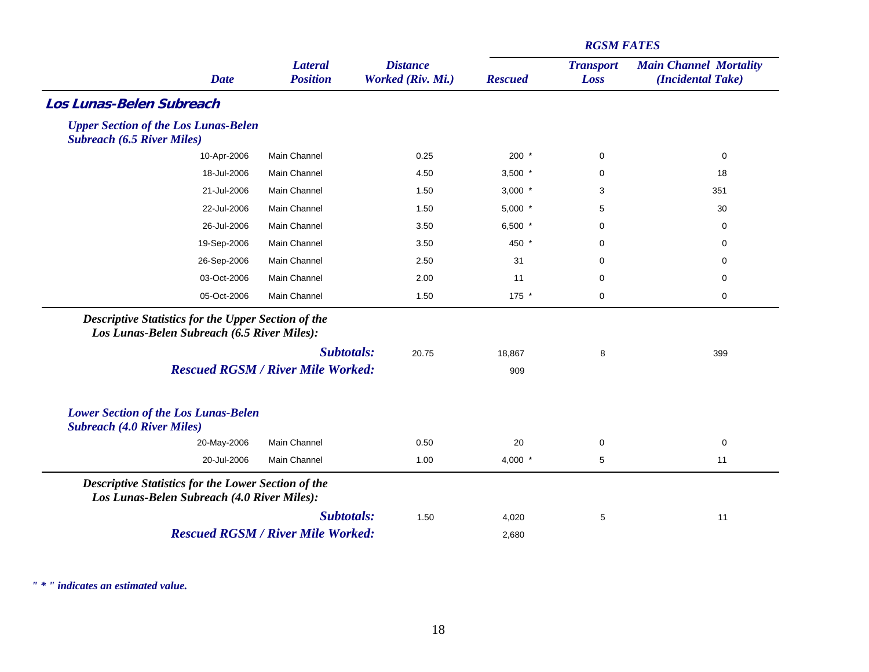|                                                                                                           |                                          |                                      | <b>RGSM FATES</b> |                          |                                                    |  |
|-----------------------------------------------------------------------------------------------------------|------------------------------------------|--------------------------------------|-------------------|--------------------------|----------------------------------------------------|--|
| <b>Date</b>                                                                                               | <b>Lateral</b><br><b>Position</b>        | <b>Distance</b><br>Worked (Riv. Mi.) | <b>Rescued</b>    | <b>Transport</b><br>Loss | <b>Main Channel Mortality</b><br>(Incidental Take) |  |
| <b>Los Lunas-Belen Subreach</b>                                                                           |                                          |                                      |                   |                          |                                                    |  |
| <b>Upper Section of the Los Lunas-Belen</b><br><b>Subreach (6.5 River Miles)</b>                          |                                          |                                      |                   |                          |                                                    |  |
| 10-Apr-2006                                                                                               | Main Channel                             | 0.25                                 | $200 *$           | $\mathbf 0$              | 0                                                  |  |
| 18-Jul-2006                                                                                               | Main Channel                             | 4.50                                 | $3,500$ *         | 0                        | 18                                                 |  |
| 21-Jul-2006                                                                                               | Main Channel                             | 1.50                                 | $3,000$ *         | 3                        | 351                                                |  |
| 22-Jul-2006                                                                                               | Main Channel                             | 1.50                                 | $5,000$ *         | 5                        | 30                                                 |  |
| 26-Jul-2006                                                                                               | Main Channel                             | 3.50                                 | 6,500 $*$         | $\mathbf 0$              | 0                                                  |  |
| 19-Sep-2006                                                                                               | Main Channel                             | 3.50                                 | 450 *             | $\mathbf 0$              | 0                                                  |  |
| 26-Sep-2006                                                                                               | Main Channel                             | 2.50                                 | 31                | $\mathbf 0$              | 0                                                  |  |
| 03-Oct-2006                                                                                               | Main Channel                             | 2.00                                 | 11                | $\mathbf 0$              | 0                                                  |  |
| 05-Oct-2006                                                                                               | Main Channel                             | 1.50                                 | $175$ *           | $\mathbf 0$              | 0                                                  |  |
| <b>Descriptive Statistics for the Upper Section of the</b><br>Los Lunas-Belen Subreach (6.5 River Miles): |                                          |                                      |                   |                          |                                                    |  |
|                                                                                                           | Subtotals:                               | 20.75                                | 18,867            | 8                        | 399                                                |  |
|                                                                                                           | <b>Rescued RGSM / River Mile Worked:</b> |                                      | 909               |                          |                                                    |  |
| <b>Lower Section of the Los Lunas-Belen</b><br><b>Subreach (4.0 River Miles)</b>                          |                                          |                                      |                   |                          |                                                    |  |
| 20-May-2006                                                                                               | Main Channel                             | 0.50                                 | 20                | 0                        | 0                                                  |  |
| 20-Jul-2006                                                                                               | Main Channel                             | 1.00                                 | 4,000 $*$         | 5                        | 11                                                 |  |
| <b>Descriptive Statistics for the Lower Section of the</b><br>Los Lunas-Belen Subreach (4.0 River Miles): |                                          |                                      |                   |                          |                                                    |  |
|                                                                                                           | Subtotals:                               | 1.50                                 | 4,020             | 5                        | 11                                                 |  |
|                                                                                                           | <b>Rescued RGSM / River Mile Worked:</b> |                                      | 2,680             |                          |                                                    |  |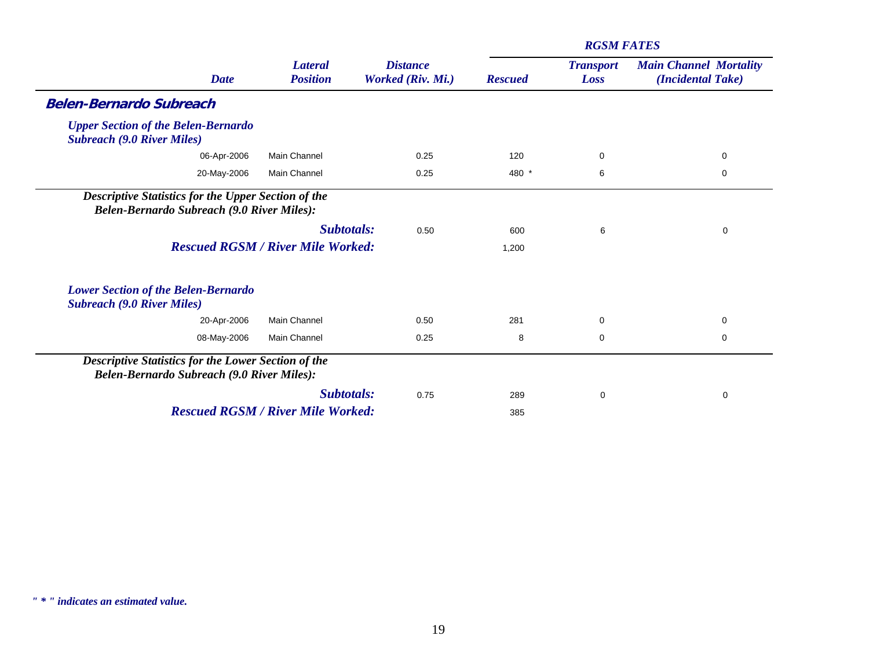|                                                                                                          |                                   |                                      | <b>RGSM FATES</b> |                          |                                                    |  |
|----------------------------------------------------------------------------------------------------------|-----------------------------------|--------------------------------------|-------------------|--------------------------|----------------------------------------------------|--|
| <b>Date</b>                                                                                              | <b>Lateral</b><br><b>Position</b> | <b>Distance</b><br>Worked (Riv. Mi.) | <b>Rescued</b>    | <b>Transport</b><br>Loss | <b>Main Channel Mortality</b><br>(Incidental Take) |  |
| <b>Belen-Bernardo Subreach</b>                                                                           |                                   |                                      |                   |                          |                                                    |  |
| <b>Upper Section of the Belen-Bernardo</b><br><b>Subreach (9.0 River Miles)</b>                          |                                   |                                      |                   |                          |                                                    |  |
| <b>Main Channel</b><br>06-Apr-2006                                                                       |                                   | 0.25                                 | 120               | 0                        | 0                                                  |  |
| 20-May-2006<br>Main Channel                                                                              |                                   | 0.25                                 | 480 *             | 6                        | 0                                                  |  |
| <b>Descriptive Statistics for the Upper Section of the</b><br>Belen-Bernardo Subreach (9.0 River Miles): |                                   |                                      |                   |                          |                                                    |  |
|                                                                                                          | Subtotals:                        | 0.50                                 | 600               | 6                        | $\mathbf 0$                                        |  |
| <b>Rescued RGSM / River Mile Worked:</b>                                                                 |                                   |                                      | 1,200             |                          |                                                    |  |
| <b>Lower Section of the Belen-Bernardo</b><br><b>Subreach (9.0 River Miles)</b>                          |                                   |                                      |                   |                          |                                                    |  |
| <b>Main Channel</b><br>20-Apr-2006                                                                       |                                   | 0.50                                 | 281               | $\mathbf 0$              | 0                                                  |  |
| 08-May-2006<br><b>Main Channel</b>                                                                       |                                   | 0.25                                 | 8                 | 0                        | 0                                                  |  |
| Descriptive Statistics for the Lower Section of the<br><b>Belen-Bernardo Subreach (9.0 River Miles):</b> |                                   |                                      |                   |                          |                                                    |  |
|                                                                                                          | <b>Subtotals:</b>                 | 0.75                                 | 289               | 0                        | 0                                                  |  |
| <b>Rescued RGSM / River Mile Worked:</b>                                                                 |                                   |                                      | 385               |                          |                                                    |  |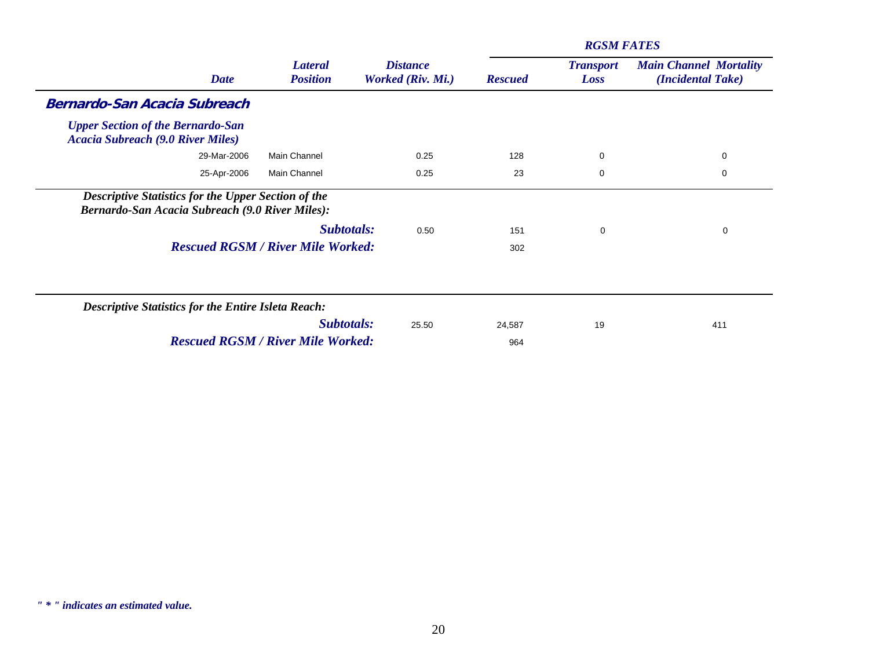|                                                                                                                      |                                          |                                      |                | <b>RGSM FATES</b>        |                                                    |
|----------------------------------------------------------------------------------------------------------------------|------------------------------------------|--------------------------------------|----------------|--------------------------|----------------------------------------------------|
| <b>Date</b>                                                                                                          | <b>Lateral</b><br><b>Position</b>        | <b>Distance</b><br>Worked (Riv. Mi.) | <b>Rescued</b> | <b>Transport</b><br>Loss | <b>Main Channel Mortality</b><br>(Incidental Take) |
| <b>Bernardo-San Acacia Subreach</b>                                                                                  |                                          |                                      |                |                          |                                                    |
| <b>Upper Section of the Bernardo-San</b><br><b>Acacia Subreach (9.0 River Miles)</b>                                 |                                          |                                      |                |                          |                                                    |
| 29-Mar-2006                                                                                                          | <b>Main Channel</b>                      | 0.25                                 | 128            | 0                        | 0                                                  |
| 25-Apr-2006                                                                                                          | Main Channel                             | 0.25                                 | 23             | $\mathbf 0$              | 0                                                  |
| <b>Descriptive Statistics for the Upper Section of the</b><br><b>Bernardo-San Acacia Subreach (9.0 River Miles):</b> |                                          |                                      |                |                          |                                                    |
|                                                                                                                      | Subtotals:                               | 0.50                                 | 151            | 0                        | 0                                                  |
|                                                                                                                      | <b>Rescued RGSM / River Mile Worked:</b> |                                      | 302            |                          |                                                    |
| <b>Descriptive Statistics for the Entire Isleta Reach:</b>                                                           |                                          |                                      |                |                          |                                                    |
|                                                                                                                      | Subtotals:                               | 25.50                                | 24,587         | 19                       | 411                                                |
|                                                                                                                      | <b>Rescued RGSM / River Mile Worked:</b> |                                      | 964            |                          |                                                    |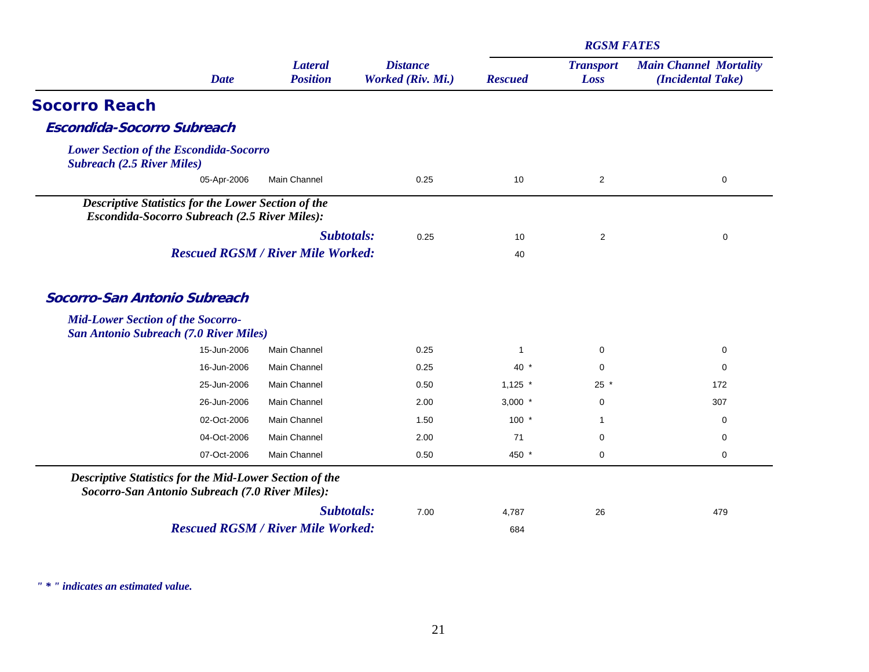|                                                                                                                   |            |                                      |              | <b>RGSM FATES</b>        |                                                    |
|-------------------------------------------------------------------------------------------------------------------|------------|--------------------------------------|--------------|--------------------------|----------------------------------------------------|
| <b>Lateral</b><br><b>Date</b><br><b>Position</b>                                                                  |            | <b>Distance</b><br>Worked (Riv. Mi.) |              | <b>Transport</b><br>Loss | <b>Main Channel Mortality</b><br>(Incidental Take) |
| <b>Socorro Reach</b>                                                                                              |            |                                      |              |                          |                                                    |
| <b>Escondida-Socorro Subreach</b>                                                                                 |            |                                      |              |                          |                                                    |
| <b>Lower Section of the Escondida-Socorro</b><br><b>Subreach (2.5 River Miles)</b>                                |            |                                      |              |                          |                                                    |
| 05-Apr-2006<br>Main Channel                                                                                       |            | 0.25                                 | 10           | $\overline{2}$           | $\mathbf 0$                                        |
| <b>Descriptive Statistics for the Lower Section of the</b><br>Escondida-Socorro Subreach (2.5 River Miles):       |            |                                      |              |                          |                                                    |
|                                                                                                                   | Subtotals: | 0.25                                 | 10           | $\overline{2}$           | 0                                                  |
| <b>Rescued RGSM / River Mile Worked:</b>                                                                          |            |                                      | 40           |                          |                                                    |
| <b>Mid-Lower Section of the Socorro-</b><br><b>San Antonio Subreach (7.0 River Miles)</b>                         |            |                                      |              |                          |                                                    |
| 15-Jun-2006<br>Main Channel                                                                                       |            | 0.25                                 | $\mathbf{1}$ | $\mathbf 0$              | $\mathbf 0$                                        |
| 16-Jun-2006<br>Main Channel                                                                                       |            | 0.25                                 | $40*$        | $\mathbf 0$              | $\mathbf 0$                                        |
| 25-Jun-2006<br>Main Channel                                                                                       |            | 0.50                                 | $1,125$ *    | $25 *$                   | 172                                                |
| 26-Jun-2006<br>Main Channel                                                                                       |            | 2.00                                 | $3,000$ *    | 0                        | 307                                                |
| 02-Oct-2006<br>Main Channel                                                                                       |            | 1.50                                 | $100 *$      | 1                        | $\mathbf 0$                                        |
| 04-Oct-2006<br>Main Channel                                                                                       |            | 2.00                                 | 71           | $\mathbf 0$              | 0                                                  |
| 07-Oct-2006<br>Main Channel                                                                                       |            | 0.50                                 | 450 *        | $\mathbf 0$              | $\mathbf 0$                                        |
| <b>Descriptive Statistics for the Mid-Lower Section of the</b><br>Socorro-San Antonio Subreach (7.0 River Miles): |            |                                      |              |                          |                                                    |
|                                                                                                                   | Subtotals: | 7.00                                 | 4,787        | 26                       | 479                                                |
| <b>Rescued RGSM / River Mile Worked:</b>                                                                          |            |                                      | 684          |                          |                                                    |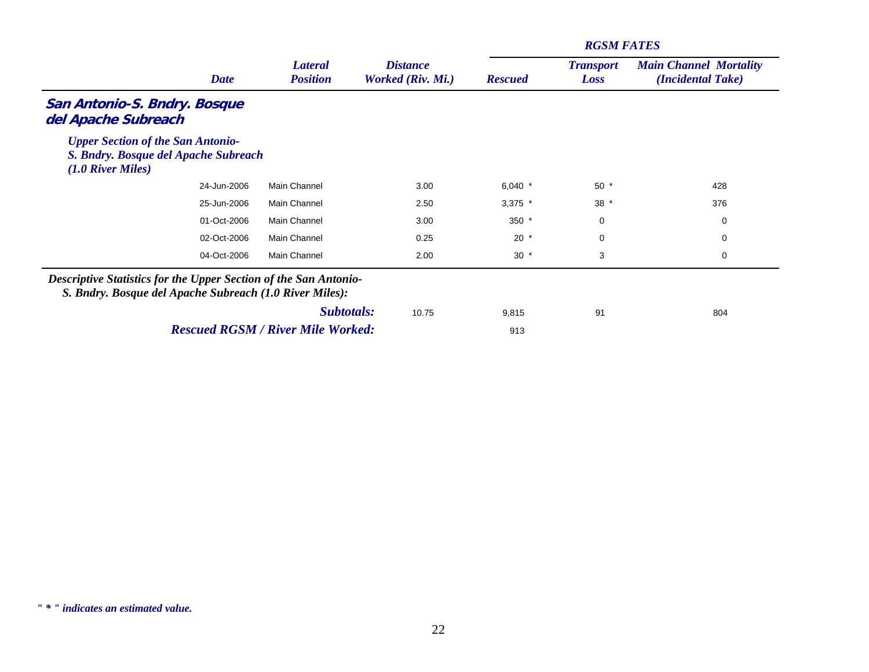|                                                                                                                                    |                                          |                                      | <b>RGSM FATES</b> |                          |                                                    |  |  |
|------------------------------------------------------------------------------------------------------------------------------------|------------------------------------------|--------------------------------------|-------------------|--------------------------|----------------------------------------------------|--|--|
| <b>Date</b>                                                                                                                        | <b>Lateral</b><br><b>Position</b>        | <b>Distance</b><br>Worked (Riv. Mi.) | <b>Rescued</b>    | <b>Transport</b><br>Loss | <b>Main Channel Mortality</b><br>(Incidental Take) |  |  |
| San Antonio-S. Bndry. Bosque<br>del Apache Subreach                                                                                |                                          |                                      |                   |                          |                                                    |  |  |
| <b>Upper Section of the San Antonio-</b><br>S. Bndry. Bosque del Apache Subreach<br>$(1.0$ River Miles)                            |                                          |                                      |                   |                          |                                                    |  |  |
| 24-Jun-2006                                                                                                                        | Main Channel                             | 3.00                                 | 6,040 $*$         | $50*$                    | 428                                                |  |  |
| 25-Jun-2006                                                                                                                        | Main Channel                             | 2.50                                 | $3,375$ *         | $38 *$                   | 376                                                |  |  |
| 01-Oct-2006                                                                                                                        | Main Channel                             | 3.00                                 | $350*$            | 0                        | 0                                                  |  |  |
| 02-Oct-2006                                                                                                                        | Main Channel                             | 0.25                                 | $20*$             | 0                        | 0                                                  |  |  |
| 04-Oct-2006                                                                                                                        | Main Channel                             | 2.00                                 | $30 *$            | 3                        | 0                                                  |  |  |
| <b>Descriptive Statistics for the Upper Section of the San Antonio-</b><br>S. Bndry. Bosque del Apache Subreach (1.0 River Miles): |                                          |                                      |                   |                          |                                                    |  |  |
|                                                                                                                                    | Subtotals:                               | 10.75                                | 9,815             | 91                       | 804                                                |  |  |
|                                                                                                                                    | <b>Rescued RGSM / River Mile Worked:</b> |                                      | 913               |                          |                                                    |  |  |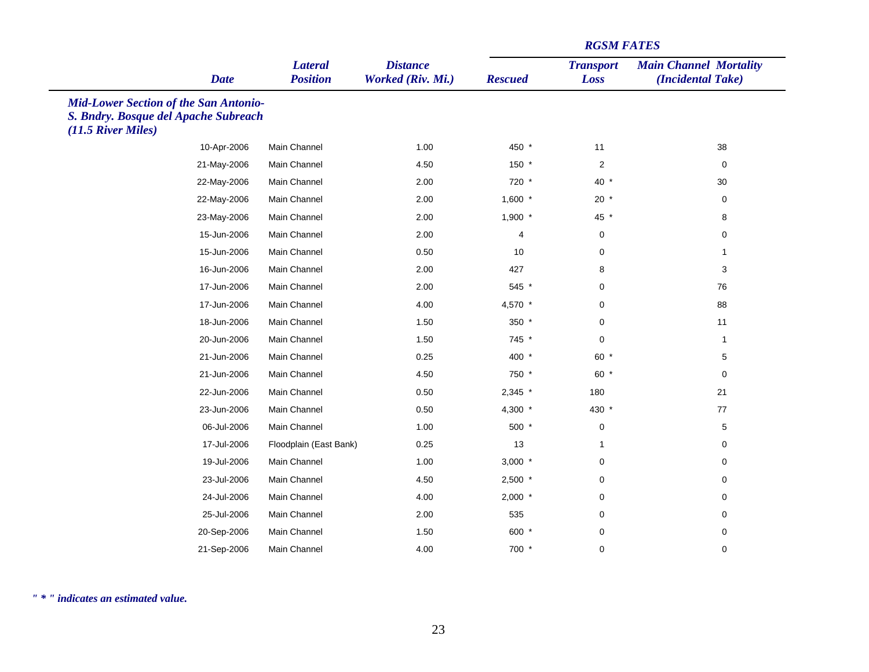|                                                                                                            |                                   |                                      |                | <b>RGSM FATES</b>        |                                                    |
|------------------------------------------------------------------------------------------------------------|-----------------------------------|--------------------------------------|----------------|--------------------------|----------------------------------------------------|
| <b>Date</b>                                                                                                | <b>Lateral</b><br><b>Position</b> | <b>Distance</b><br>Worked (Riv. Mi.) | <b>Rescued</b> | <b>Transport</b><br>Loss | <b>Main Channel Mortality</b><br>(Incidental Take) |
| <b>Mid-Lower Section of the San Antonio-</b><br>S. Bndry. Bosque del Apache Subreach<br>(11.5 River Miles) |                                   |                                      |                |                          |                                                    |
| 10-Apr-2006                                                                                                | Main Channel                      | 1.00                                 | 450 *          | 11                       | 38                                                 |
| 21-May-2006                                                                                                | Main Channel                      | 4.50                                 | 150 *          | $\overline{2}$           | 0                                                  |
| 22-May-2006                                                                                                | Main Channel                      | 2.00                                 | 720 *          | $40*$                    | 30                                                 |
| 22-May-2006                                                                                                | Main Channel                      | 2.00                                 | $1,600$ *      | $20*$                    | 0                                                  |
| 23-May-2006                                                                                                | Main Channel                      | 2.00                                 | $1,900$ *      | 45 *                     | 8                                                  |
| 15-Jun-2006                                                                                                | Main Channel                      | 2.00                                 | $\overline{4}$ | $\mathbf 0$              | 0                                                  |
| 15-Jun-2006                                                                                                | Main Channel                      | 0.50                                 | 10             | 0                        | $\mathbf{1}$                                       |
| 16-Jun-2006                                                                                                | Main Channel                      | 2.00                                 | 427            | 8                        | 3                                                  |
| 17-Jun-2006                                                                                                | Main Channel                      | 2.00                                 | 545 *          | 0                        | 76                                                 |
| 17-Jun-2006                                                                                                | Main Channel                      | 4.00                                 | 4,570 *        | $\mathbf 0$              | 88                                                 |
| 18-Jun-2006                                                                                                | Main Channel                      | 1.50                                 | 350 *          | 0                        | 11                                                 |
| 20-Jun-2006                                                                                                | Main Channel                      | 1.50                                 | 745 *          | $\mathbf 0$              | $\mathbf{1}$                                       |
| 21-Jun-2006                                                                                                | Main Channel                      | 0.25                                 | 400 *          | $60*$                    | 5                                                  |
| 21-Jun-2006                                                                                                | Main Channel                      | 4.50                                 | 750 *          | 60 *                     | 0                                                  |
| 22-Jun-2006                                                                                                | Main Channel                      | 0.50                                 | $2,345$ *      | 180                      | 21                                                 |
| 23-Jun-2006                                                                                                | Main Channel                      | 0.50                                 | 4,300 $*$      | 430 *                    | 77                                                 |
| 06-Jul-2006                                                                                                | Main Channel                      | 1.00                                 | 500 *          | $\mathbf 0$              | $\,$ 5 $\,$                                        |
| 17-Jul-2006                                                                                                | Floodplain (East Bank)            | 0.25                                 | 13             | 1                        | 0                                                  |
| 19-Jul-2006                                                                                                | Main Channel                      | 1.00                                 | $3,000$ *      | $\mathbf 0$              | 0                                                  |
| 23-Jul-2006                                                                                                | Main Channel                      | 4.50                                 | $2,500$ *      | 0                        | 0                                                  |
| 24-Jul-2006                                                                                                | Main Channel                      | 4.00                                 | $2,000$ *      | 0                        | 0                                                  |
| 25-Jul-2006                                                                                                | Main Channel                      | 2.00                                 | 535            | 0                        | 0                                                  |
| 20-Sep-2006                                                                                                | Main Channel                      | 1.50                                 | 600 *          | 0                        | 0                                                  |
| 21-Sep-2006                                                                                                | Main Channel                      | 4.00                                 | 700 *          | $\mathbf 0$              | 0                                                  |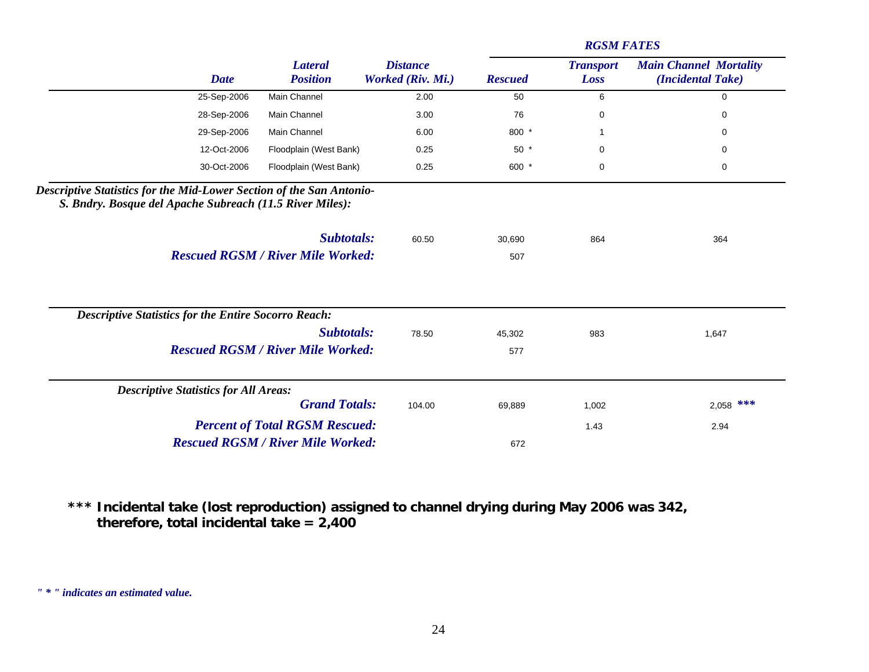|                                                                                                                                                                              |                                   |                                      |                | <b>RGSM FATES</b>        |                                                    |
|------------------------------------------------------------------------------------------------------------------------------------------------------------------------------|-----------------------------------|--------------------------------------|----------------|--------------------------|----------------------------------------------------|
| <b>Date</b>                                                                                                                                                                  | <b>Lateral</b><br><b>Position</b> | <b>Distance</b><br>Worked (Riv. Mi.) | <b>Rescued</b> | <b>Transport</b><br>Loss | <b>Main Channel Mortality</b><br>(Incidental Take) |
| 25-Sep-2006                                                                                                                                                                  | Main Channel                      | 2.00                                 | 50             | 6                        | $\mathbf 0$                                        |
| 28-Sep-2006                                                                                                                                                                  | Main Channel                      | 3.00                                 | 76             | 0                        | 0                                                  |
| 29-Sep-2006                                                                                                                                                                  | Main Channel                      | 6.00                                 | 800 *          |                          | 0                                                  |
| 12-Oct-2006                                                                                                                                                                  | Floodplain (West Bank)            | 0.25                                 | $50*$          | 0                        | 0                                                  |
| 30-Oct-2006                                                                                                                                                                  | Floodplain (West Bank)            | 0.25                                 | 600 *          | 0                        | $\mathbf 0$                                        |
| Descriptive Statistics for the Mid-Lower Section of the San Antonio-<br>S. Bndry. Bosque del Apache Subreach (11.5 River Miles):<br><b>Rescued RGSM / River Mile Worked:</b> | Subtotals:                        | 60.50                                | 30,690<br>507  | 864                      | 364                                                |
| <b>Descriptive Statistics for the Entire Socorro Reach:</b>                                                                                                                  |                                   |                                      |                |                          |                                                    |
|                                                                                                                                                                              | <b>Subtotals:</b>                 | 78.50                                | 45,302         | 983                      | 1,647                                              |
| <b>Rescued RGSM / River Mile Worked:</b>                                                                                                                                     |                                   |                                      | 577            |                          |                                                    |
| <b>Descriptive Statistics for All Areas:</b>                                                                                                                                 |                                   |                                      |                |                          |                                                    |
|                                                                                                                                                                              | <b>Grand Totals:</b>              | 104.00                               | 69,889         | 1,002                    | $2,058$ ***                                        |
| <b>Percent of Total RGSM Rescued:</b>                                                                                                                                        |                                   |                                      |                | 1.43                     | 2.94                                               |
| <b>Rescued RGSM / River Mile Worked:</b>                                                                                                                                     |                                   |                                      | 672            |                          |                                                    |

**\*\*\* Incidental take (lost reproduction) assigned to channel drying during May 2006 was 342, therefore, total incidental take = 2,400**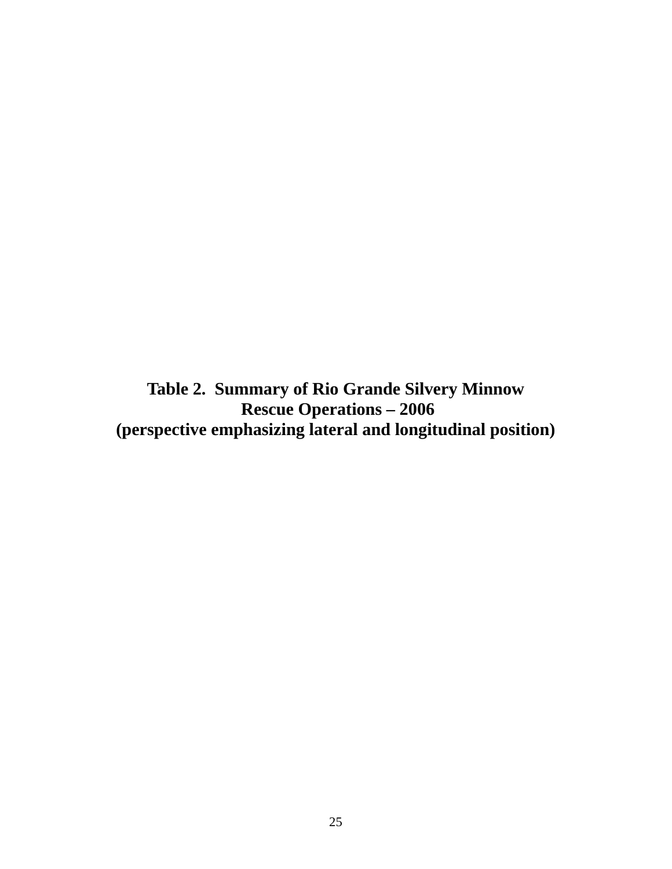<span id="page-24-0"></span>**Table 2. Summary of Rio Grande Silvery Minnow Rescue Operations – 2006 (perspective emphasizing lateral and longitudinal position)**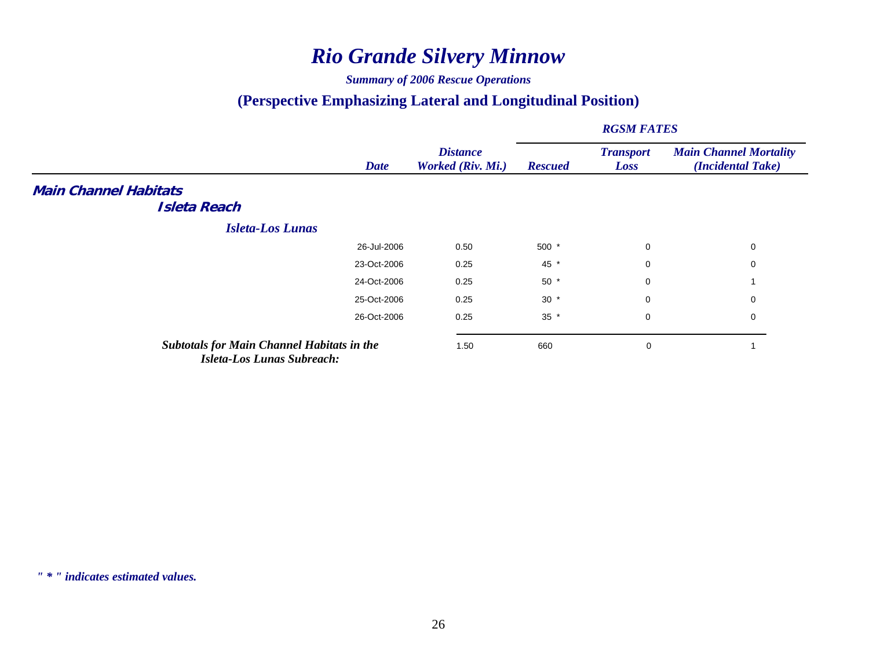# *Rio Grande Silvery Minnow*

#### *Summary of 2006 Rescue Operations*

## **(Perspective Emphasizing Lateral and Longitudinal Position)**

|                                                                                        |             |                                      |                | <b>RGSM FATES</b>        |                                                    |
|----------------------------------------------------------------------------------------|-------------|--------------------------------------|----------------|--------------------------|----------------------------------------------------|
|                                                                                        | <b>Date</b> | <b>Distance</b><br>Worked (Riv. Mi.) | <b>Rescued</b> | <b>Transport</b><br>Loss | <b>Main Channel Mortality</b><br>(Incidental Take) |
| <b>Main Channel Habitats</b>                                                           |             |                                      |                |                          |                                                    |
| <b>Isleta Reach</b>                                                                    |             |                                      |                |                          |                                                    |
| <b>Isleta-Los Lunas</b>                                                                |             |                                      |                |                          |                                                    |
|                                                                                        | 26-Jul-2006 | 0.50                                 | $500*$         | 0                        | 0                                                  |
|                                                                                        | 23-Oct-2006 | 0.25                                 | 45 *           | 0                        | 0                                                  |
|                                                                                        | 24-Oct-2006 | 0.25                                 | $50*$          | 0                        |                                                    |
|                                                                                        | 25-Oct-2006 | 0.25                                 | $30 *$         | 0                        | 0                                                  |
|                                                                                        | 26-Oct-2006 | 0.25                                 | $35 *$         | 0                        | $\mathbf 0$                                        |
| <b>Subtotals for Main Channel Habitats in the</b><br><b>Isleta-Los Lunas Subreach:</b> |             | 1.50                                 | 660            | 0                        |                                                    |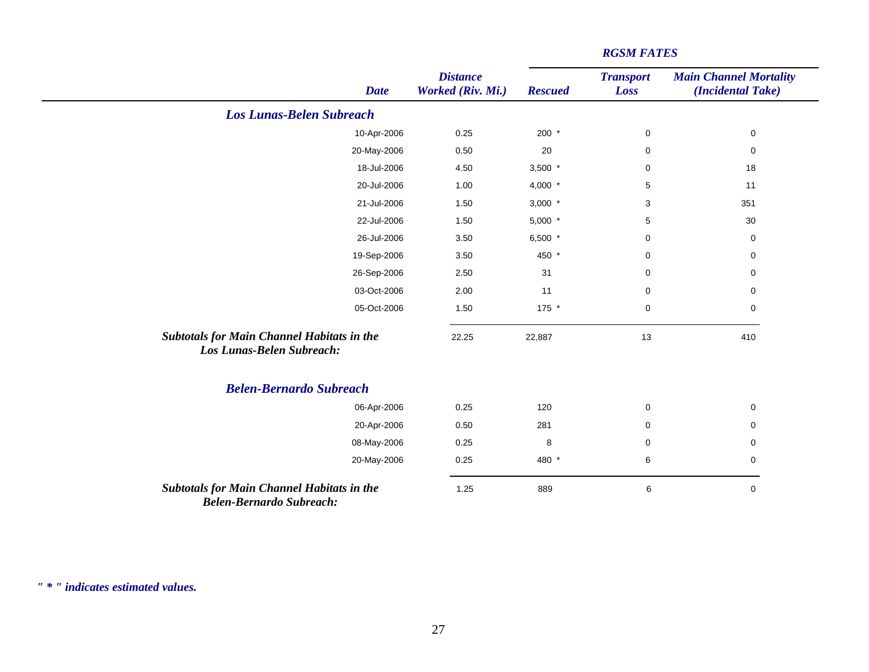|                                                                                      | <b>Date</b> | <b>Distance</b><br>Worked (Riv. Mi.) | <b>Rescued</b> | <b>Transport</b><br>Loss | <b>Main Channel Mortality</b><br>(Incidental Take) |
|--------------------------------------------------------------------------------------|-------------|--------------------------------------|----------------|--------------------------|----------------------------------------------------|
| <b>Los Lunas-Belen Subreach</b>                                                      |             |                                      |                |                          |                                                    |
|                                                                                      | 10-Apr-2006 | 0.25                                 | $200 *$        | $\pmb{0}$                | $\pmb{0}$                                          |
|                                                                                      | 20-May-2006 | 0.50                                 | 20             | $\mathbf 0$              | $\pmb{0}$                                          |
|                                                                                      | 18-Jul-2006 | 4.50                                 | $3,500$ *      | $\mathbf 0$              | 18                                                 |
|                                                                                      | 20-Jul-2006 | 1.00                                 | 4,000 $*$      | 5                        | 11                                                 |
|                                                                                      | 21-Jul-2006 | 1.50                                 | $3,000$ *      | 3                        | 351                                                |
|                                                                                      | 22-Jul-2006 | 1.50                                 | $5,000$ *      | 5                        | 30                                                 |
|                                                                                      | 26-Jul-2006 | 3.50                                 | 6,500 $*$      | $\mathbf 0$              | $\mathbf 0$                                        |
|                                                                                      | 19-Sep-2006 | 3.50                                 | 450 *          | $\mathbf 0$              | $\pmb{0}$                                          |
|                                                                                      | 26-Sep-2006 | 2.50                                 | 31             | $\mathbf 0$              | $\mathbf 0$                                        |
|                                                                                      | 03-Oct-2006 | 2.00                                 | 11             | $\mathbf 0$              | $\mathbf 0$                                        |
|                                                                                      | 05-Oct-2006 | 1.50                                 | 175 *          | $\pmb{0}$                | 0                                                  |
| <b>Subtotals for Main Channel Habitats in the</b><br>Los Lunas-Belen Subreach:       |             | 22.25                                | 22,887         | 13                       | 410                                                |
| <b>Belen-Bernardo Subreach</b>                                                       |             |                                      |                |                          |                                                    |
|                                                                                      | 06-Apr-2006 | 0.25                                 | 120            | $\pmb{0}$                | $\pmb{0}$                                          |
|                                                                                      | 20-Apr-2006 | 0.50                                 | 281            | 0                        | $\mathbf 0$                                        |
|                                                                                      | 08-May-2006 | 0.25                                 | 8              | 0                        | 0                                                  |
|                                                                                      | 20-May-2006 | 0.25                                 | 480 *          | $\,6\,$                  | $\pmb{0}$                                          |
| <b>Subtotals for Main Channel Habitats in the</b><br><b>Belen-Bernardo Subreach:</b> |             | 1.25                                 | 889            | 6                        | $\mathbf 0$                                        |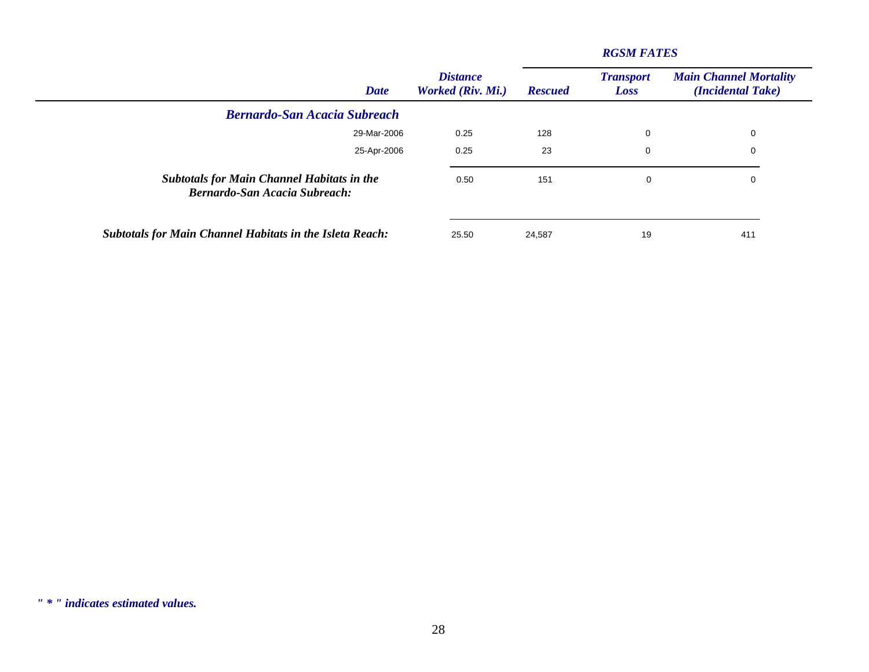| <b>Date</b>                                                                               | <b>Distance</b><br>Worked (Riv. Mi.) | <b>Rescued</b> | <b>Transport</b><br>Loss | <b>Main Channel Mortality</b><br>(Incidental Take) |
|-------------------------------------------------------------------------------------------|--------------------------------------|----------------|--------------------------|----------------------------------------------------|
| <b>Bernardo-San Acacia Subreach</b>                                                       |                                      |                |                          |                                                    |
| 29-Mar-2006                                                                               | 0.25                                 | 128            | 0                        | 0                                                  |
| 25-Apr-2006                                                                               | 0.25                                 | 23             | 0                        | 0                                                  |
| <b>Subtotals for Main Channel Habitats in the</b><br><b>Bernardo-San Acacia Subreach:</b> | 0.50                                 | 151            | 0                        | 0                                                  |
| <b>Subtotals for Main Channel Habitats in the Isleta Reach:</b>                           | 25.50                                | 24,587         | 19                       | 411                                                |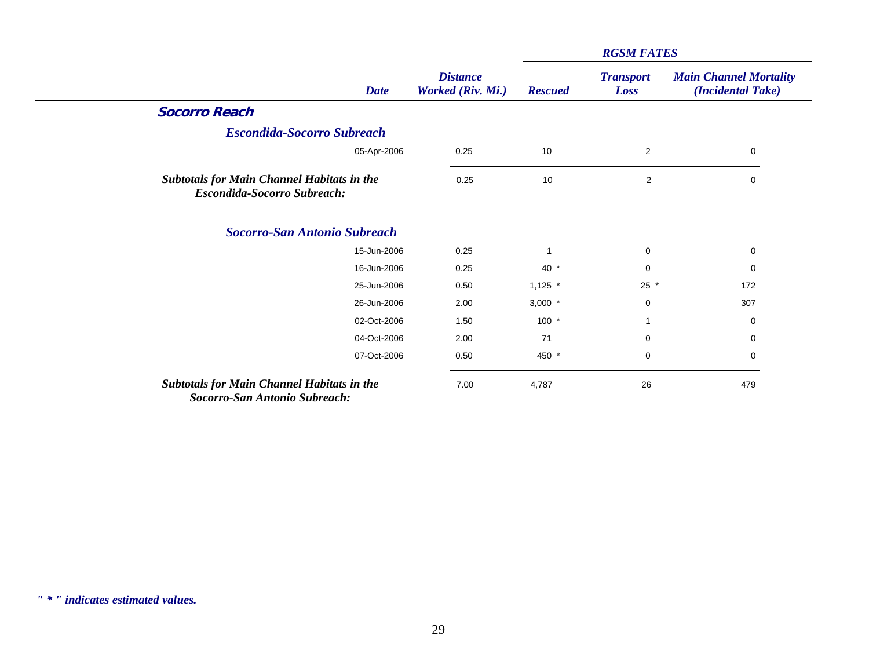|                                                                                           |                                      |                | <b>RGSM FATES</b>        |                                                    |  |
|-------------------------------------------------------------------------------------------|--------------------------------------|----------------|--------------------------|----------------------------------------------------|--|
| <b>Date</b>                                                                               | <b>Distance</b><br>Worked (Riv. Mi.) | <b>Rescued</b> | <b>Transport</b><br>Loss | <b>Main Channel Mortality</b><br>(Incidental Take) |  |
| <b>Socorro Reach</b>                                                                      |                                      |                |                          |                                                    |  |
| <b>Escondida-Socorro Subreach</b>                                                         |                                      |                |                          |                                                    |  |
| 05-Apr-2006                                                                               | 0.25                                 | 10             | $\overline{2}$           | $\mathbf 0$                                        |  |
| <b>Subtotals for Main Channel Habitats in the</b><br><b>Escondida-Socorro Subreach:</b>   | 0.25                                 | 10             | $\overline{c}$           | 0                                                  |  |
| <b>Socorro-San Antonio Subreach</b>                                                       |                                      |                |                          |                                                    |  |
| 15-Jun-2006                                                                               | 0.25                                 |                | $\mathbf 0$              | 0                                                  |  |
| 16-Jun-2006                                                                               | 0.25                                 | $40*$          | $\mathbf 0$              | 0                                                  |  |
| 25-Jun-2006                                                                               | 0.50                                 | $1,125$ *      | $25 *$                   | 172                                                |  |
| 26-Jun-2006                                                                               | 2.00                                 | $3,000$ *      | $\mathbf 0$              | 307                                                |  |
| 02-Oct-2006                                                                               | 1.50                                 | $100 *$        | 1                        | 0                                                  |  |
| 04-Oct-2006                                                                               | 2.00                                 | 71             | 0                        | 0                                                  |  |
| 07-Oct-2006                                                                               | 0.50                                 | 450 *          | $\mathbf 0$              | 0                                                  |  |
| <b>Subtotals for Main Channel Habitats in the</b><br><b>Socorro-San Antonio Subreach:</b> | 7.00                                 | 4,787          | 26                       | 479                                                |  |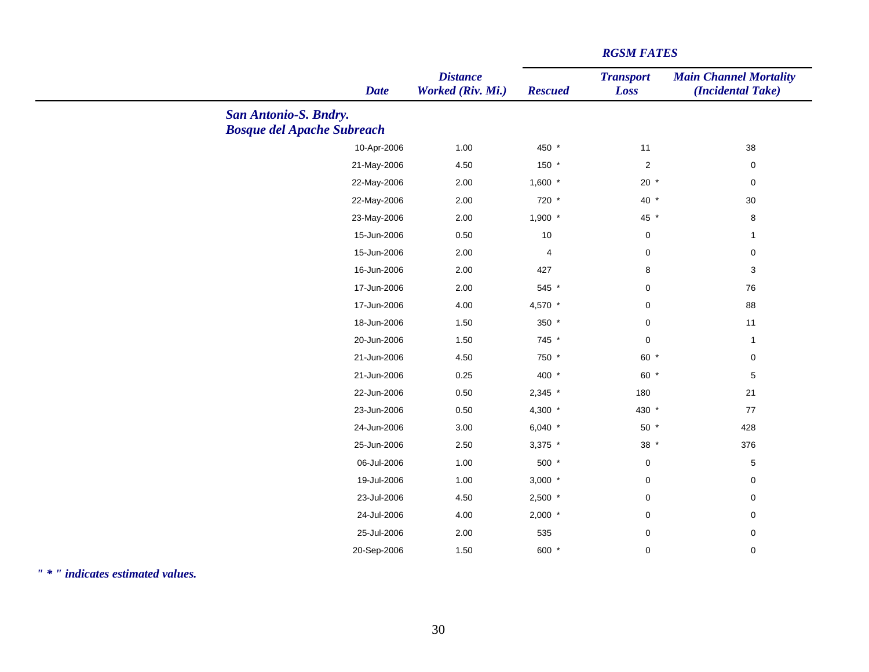| <b>Date</b>                       | <b>Distance</b><br>Worked (Riv. Mi.) | <b>Rescued</b> | <b>Transport</b><br>Loss | <b>Main Channel Mortality</b><br>(Incidental Take) |
|-----------------------------------|--------------------------------------|----------------|--------------------------|----------------------------------------------------|
| <b>San Antonio-S. Bndry.</b>      |                                      |                |                          |                                                    |
| <b>Bosque del Apache Subreach</b> |                                      |                |                          |                                                    |
| 10-Apr-2006                       | 1.00                                 | 450 *          | 11                       | 38                                                 |
| 21-May-2006                       | 4.50                                 | 150 *          | $\overline{2}$           | $\mathbf 0$                                        |
| 22-May-2006                       | 2.00                                 | $1,600$ *      | $20 *$                   | $\mathbf 0$                                        |
| 22-May-2006                       | 2.00                                 | 720 *          | 40 *                     | $30\,$                                             |
| 23-May-2006                       | 2.00                                 | $1,900$ *      | 45 *                     | $\bf 8$                                            |
| 15-Jun-2006                       | 0.50                                 | $10$           | $\mathbf 0$              | $\mathbf{1}$                                       |
| 15-Jun-2006                       | 2.00                                 | 4              | $\mathbf 0$              | $\pmb{0}$                                          |
| 16-Jun-2006                       | 2.00                                 | 427            | 8                        | $\sqrt{3}$                                         |
| 17-Jun-2006                       | 2.00                                 | 545 *          | $\mathbf 0$              | 76                                                 |
| 17-Jun-2006                       | 4.00                                 | 4,570 *        | $\mathbf 0$              | 88                                                 |
| 18-Jun-2006                       | 1.50                                 | 350 *          | $\mathbf 0$              | 11                                                 |
| 20-Jun-2006                       | 1.50                                 | 745 *          | $\mathbf 0$              | $\mathbf{1}$                                       |
| 21-Jun-2006                       | 4.50                                 | 750 *          | 60 *                     | $\pmb{0}$                                          |
| 21-Jun-2006                       | 0.25                                 | 400 *          | 60 *                     | 5                                                  |
| 22-Jun-2006                       | 0.50                                 | $2,345$ *      | 180                      | 21                                                 |
| 23-Jun-2006                       | 0.50                                 | 4,300 *        | 430 *                    | $77\,$                                             |
| 24-Jun-2006                       | 3.00                                 | 6,040 $*$      | $50*$                    | 428                                                |
| 25-Jun-2006                       | 2.50                                 | $3,375$ *      | $38 *$                   | 376                                                |
| 06-Jul-2006                       | 1.00                                 | 500 *          | $\mathbf 0$              | $\,$ 5 $\,$                                        |
| 19-Jul-2006                       | 1.00                                 | $3,000$ *      | $\pmb{0}$                | $\pmb{0}$                                          |
| 23-Jul-2006                       | 4.50                                 | $2,500$ *      | $\pmb{0}$                | $\pmb{0}$                                          |
| 24-Jul-2006                       | 4.00                                 | $2,000$ *      | $\mathbf 0$              | $\mathbf 0$                                        |
| 25-Jul-2006                       | 2.00                                 | 535            | $\mathbf 0$              | $\pmb{0}$                                          |
| 20-Sep-2006                       | 1.50                                 | 600 *          | $\mathbf 0$              | $\mathbf 0$                                        |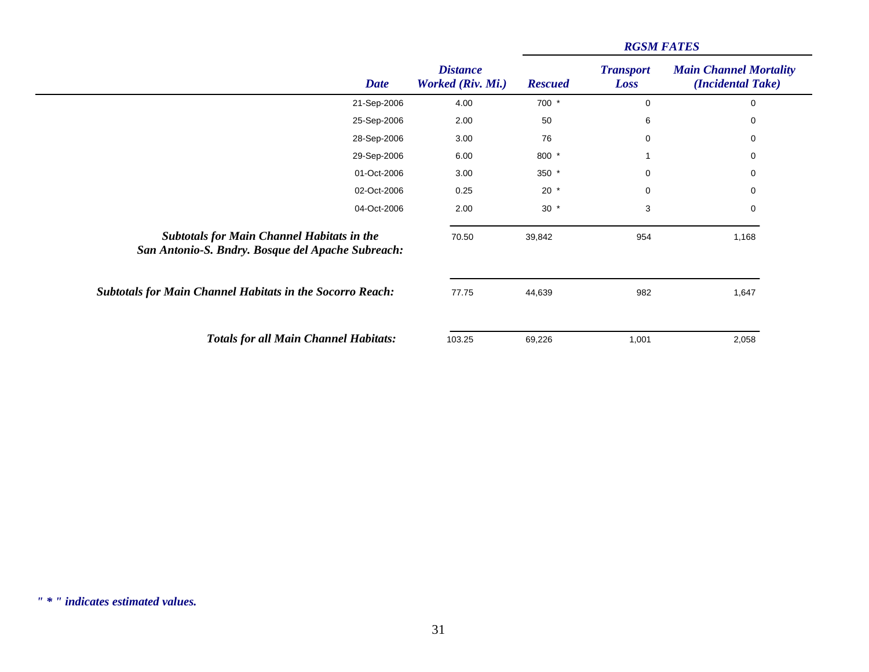|                                                                                                        |             |                                      | <b>RGSM FATES</b> |                          |                                                    |  |
|--------------------------------------------------------------------------------------------------------|-------------|--------------------------------------|-------------------|--------------------------|----------------------------------------------------|--|
|                                                                                                        | <b>Date</b> | <b>Distance</b><br>Worked (Riv. Mi.) | <b>Rescued</b>    | <b>Transport</b><br>Loss | <b>Main Channel Mortality</b><br>(Incidental Take) |  |
|                                                                                                        | 21-Sep-2006 | 4.00                                 | 700 *             | $\mathbf 0$              | $\mathbf 0$                                        |  |
|                                                                                                        | 25-Sep-2006 | 2.00                                 | 50                | 6                        | 0                                                  |  |
|                                                                                                        | 28-Sep-2006 | 3.00                                 | 76                | 0                        | 0                                                  |  |
|                                                                                                        | 29-Sep-2006 | 6.00                                 | 800 *             |                          | 0                                                  |  |
|                                                                                                        | 01-Oct-2006 | 3.00                                 | 350 *             | $\mathbf 0$              | 0                                                  |  |
|                                                                                                        | 02-Oct-2006 | 0.25                                 | $20 *$            | 0                        | 0                                                  |  |
|                                                                                                        | 04-Oct-2006 | 2.00                                 | $30 *$            | 3                        | 0                                                  |  |
| <b>Subtotals for Main Channel Habitats in the</b><br>San Antonio-S. Bndry. Bosque del Apache Subreach: |             | 70.50                                | 39,842            | 954                      | 1,168                                              |  |
| <b>Subtotals for Main Channel Habitats in the Socorro Reach:</b>                                       |             | 77.75                                | 44,639            | 982                      | 1,647                                              |  |
| <b>Totals for all Main Channel Habitats:</b>                                                           |             | 103.25                               | 69,226            | 1,001                    | 2,058                                              |  |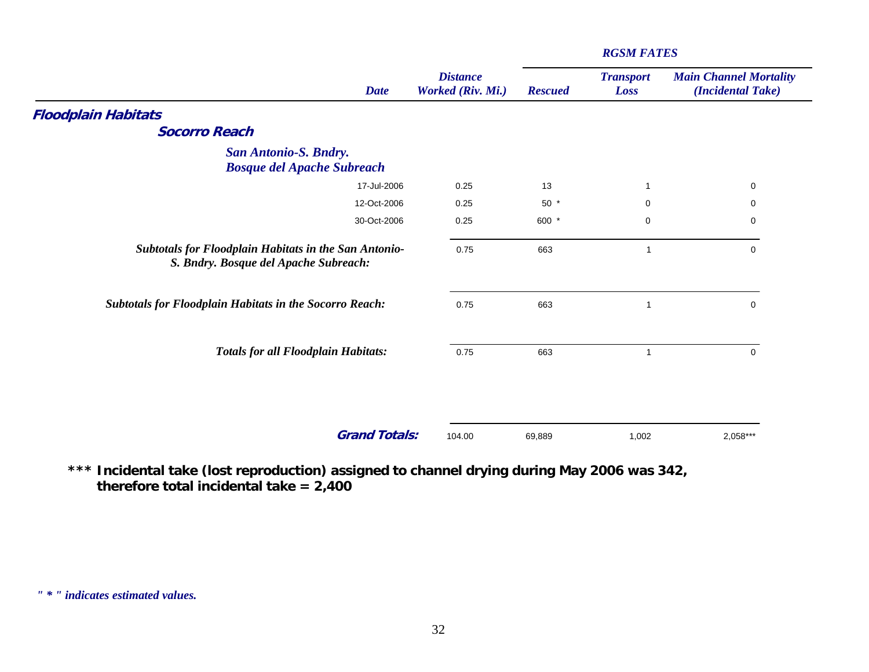| <b>Date</b>                                                                                           | <b>Distance</b><br>Worked (Riv. Mi.) | <b>Rescued</b> | <b>Transport</b><br>Loss | <b>Main Channel Mortality</b><br>(Incidental Take) |
|-------------------------------------------------------------------------------------------------------|--------------------------------------|----------------|--------------------------|----------------------------------------------------|
| <b>Floodplain Habitats</b>                                                                            |                                      |                |                          |                                                    |
| <b>Socorro Reach</b>                                                                                  |                                      |                |                          |                                                    |
| <b>San Antonio-S. Bndry.</b>                                                                          |                                      |                |                          |                                                    |
| <b>Bosque del Apache Subreach</b>                                                                     |                                      |                |                          |                                                    |
| 17-Jul-2006                                                                                           | 0.25                                 | 13             | $\mathbf 1$              | 0                                                  |
| 12-Oct-2006                                                                                           | 0.25                                 | $50*$          | $\mathbf 0$              | $\mathbf 0$                                        |
| 30-Oct-2006                                                                                           | 0.25                                 | 600 *          | $\mathbf 0$              | $\mathbf 0$                                        |
| <b>Subtotals for Floodplain Habitats in the San Antonio-</b><br>S. Bndry. Bosque del Apache Subreach: | 0.75                                 | 663            | $\mathbf 1$              | 0                                                  |
| <b>Subtotals for Floodplain Habitats in the Socorro Reach:</b>                                        | 0.75                                 | 663            | $\mathbf 1$              | 0                                                  |
| <b>Totals for all Floodplain Habitats:</b>                                                            | 0.75                                 | 663            | $\overline{1}$           | $\mathbf 0$                                        |
|                                                                                                       |                                      |                |                          |                                                    |
| <b>Grand Totals:</b>                                                                                  | 104.00                               | 69,889         | 1,002                    | 2,058***                                           |

**\*\*\* Incidental take (lost reproduction) assigned to channel drying during May 2006 was 342, therefore total incidental take = 2,400**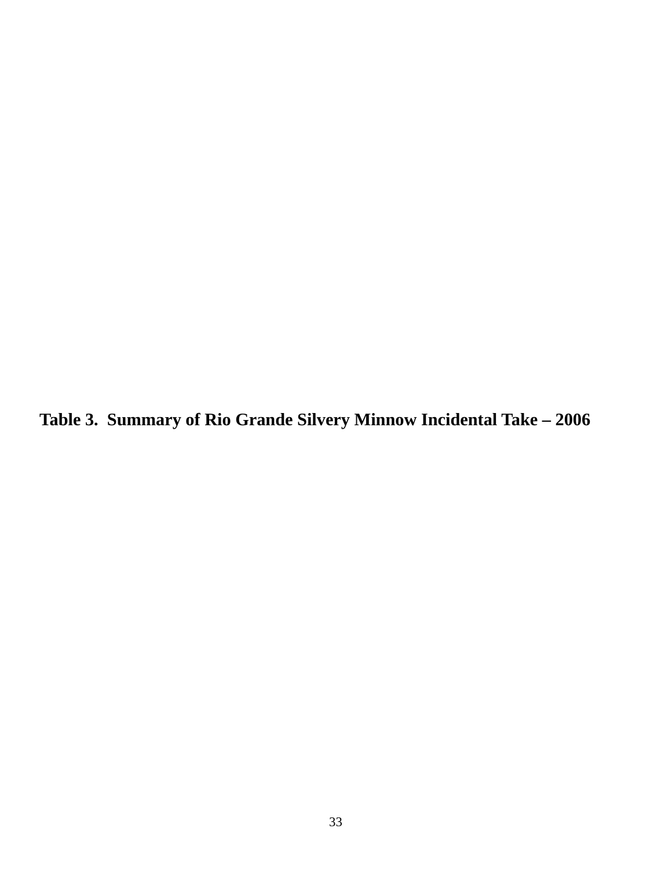<span id="page-32-0"></span>**Table 3. Summary of Rio Grande Silvery Minnow Incidental Take – 2006**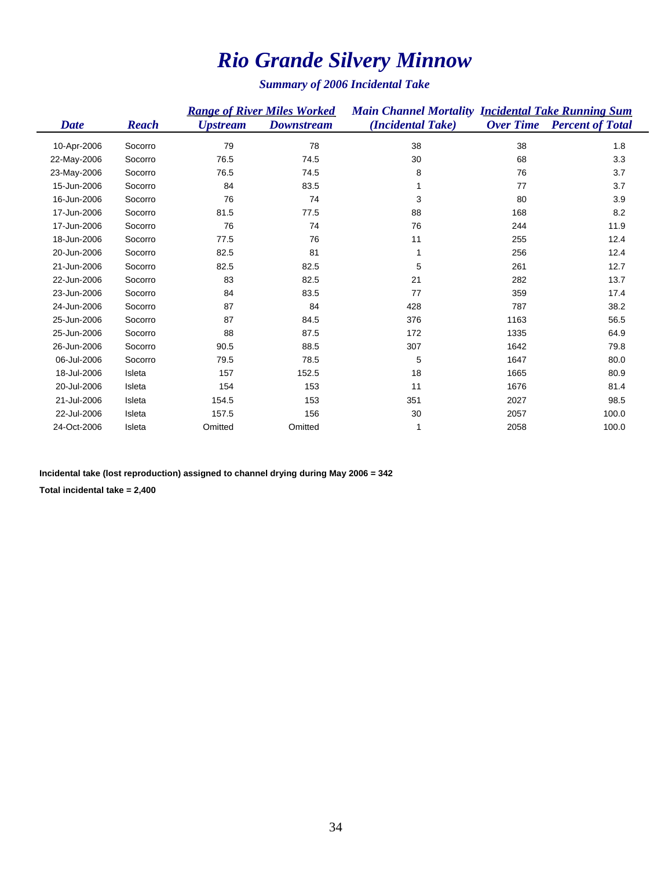# *Rio Grande Silvery Minnow*

*Summary of 2006 Incidental Take*

|             |              | <b>Range of River Miles Worked</b> |                   |                   | <b>Main Channel Mortality Incidental Take Running Sum</b> |                         |  |
|-------------|--------------|------------------------------------|-------------------|-------------------|-----------------------------------------------------------|-------------------------|--|
| Date        | <b>Reach</b> | <b>Upstream</b>                    | <b>Downstream</b> | (Incidental Take) | <b>Over Time</b>                                          | <b>Percent of Total</b> |  |
| 10-Apr-2006 | Socorro      | 79                                 | 78                | 38                | 38                                                        | 1.8                     |  |
| 22-May-2006 | Socorro      | 76.5                               | 74.5              | 30                | 68                                                        | 3.3                     |  |
| 23-May-2006 | Socorro      | 76.5                               | 74.5              | 8                 | 76                                                        | 3.7                     |  |
| 15-Jun-2006 | Socorro      | 84                                 | 83.5              |                   | 77                                                        | 3.7                     |  |
| 16-Jun-2006 | Socorro      | 76                                 | 74                | 3                 | 80                                                        | 3.9                     |  |
| 17-Jun-2006 | Socorro      | 81.5                               | 77.5              | 88                | 168                                                       | 8.2                     |  |
| 17-Jun-2006 | Socorro      | 76                                 | 74                | 76                | 244                                                       | 11.9                    |  |
| 18-Jun-2006 | Socorro      | 77.5                               | 76                | 11                | 255                                                       | 12.4                    |  |
| 20-Jun-2006 | Socorro      | 82.5                               | 81                | 1                 | 256                                                       | 12.4                    |  |
| 21-Jun-2006 | Socorro      | 82.5                               | 82.5              | 5                 | 261                                                       | 12.7                    |  |
| 22-Jun-2006 | Socorro      | 83                                 | 82.5              | 21                | 282                                                       | 13.7                    |  |
| 23-Jun-2006 | Socorro      | 84                                 | 83.5              | 77                | 359                                                       | 17.4                    |  |
| 24-Jun-2006 | Socorro      | 87                                 | 84                | 428               | 787                                                       | 38.2                    |  |
| 25-Jun-2006 | Socorro      | 87                                 | 84.5              | 376               | 1163                                                      | 56.5                    |  |
| 25-Jun-2006 | Socorro      | 88                                 | 87.5              | 172               | 1335                                                      | 64.9                    |  |
| 26-Jun-2006 | Socorro      | 90.5                               | 88.5              | 307               | 1642                                                      | 79.8                    |  |
| 06-Jul-2006 | Socorro      | 79.5                               | 78.5              | 5                 | 1647                                                      | 80.0                    |  |
| 18-Jul-2006 | Isleta       | 157                                | 152.5             | 18                | 1665                                                      | 80.9                    |  |
| 20-Jul-2006 | Isleta       | 154                                | 153               | 11                | 1676                                                      | 81.4                    |  |
| 21-Jul-2006 | Isleta       | 154.5                              | 153               | 351               | 2027                                                      | 98.5                    |  |
| 22-Jul-2006 | Isleta       | 157.5                              | 156               | 30                | 2057                                                      | 100.0                   |  |
| 24-Oct-2006 | Isleta       | Omitted                            | Omitted           | 1                 | 2058                                                      | 100.0                   |  |

**Incidental take (lost reproduction) assigned to channel drying during May 2006 = 342**

**Total incidental take = 2,400**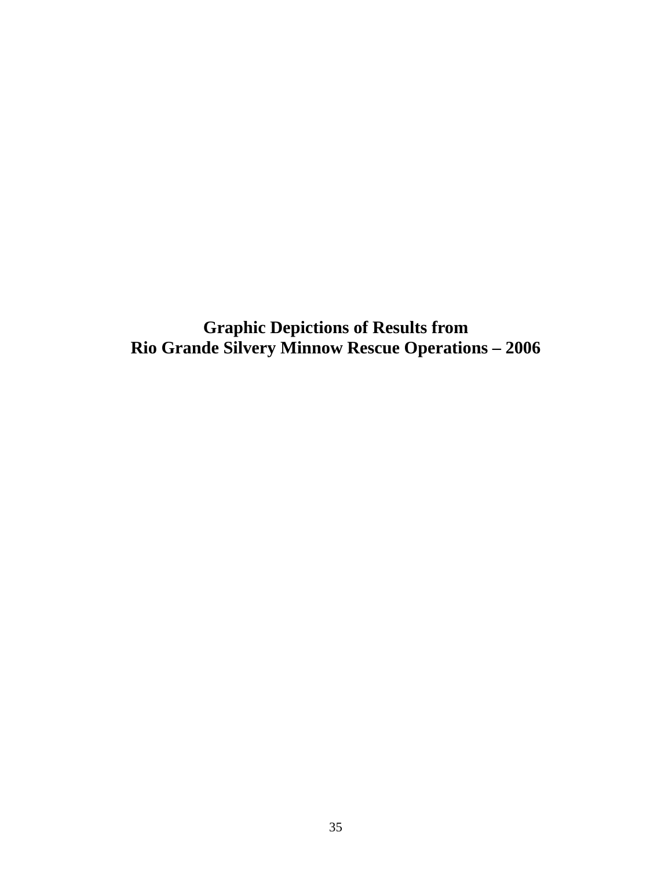<span id="page-34-0"></span>**Graphic Depictions of Results from Rio Grande Silvery Minnow Rescue Operations – 2006**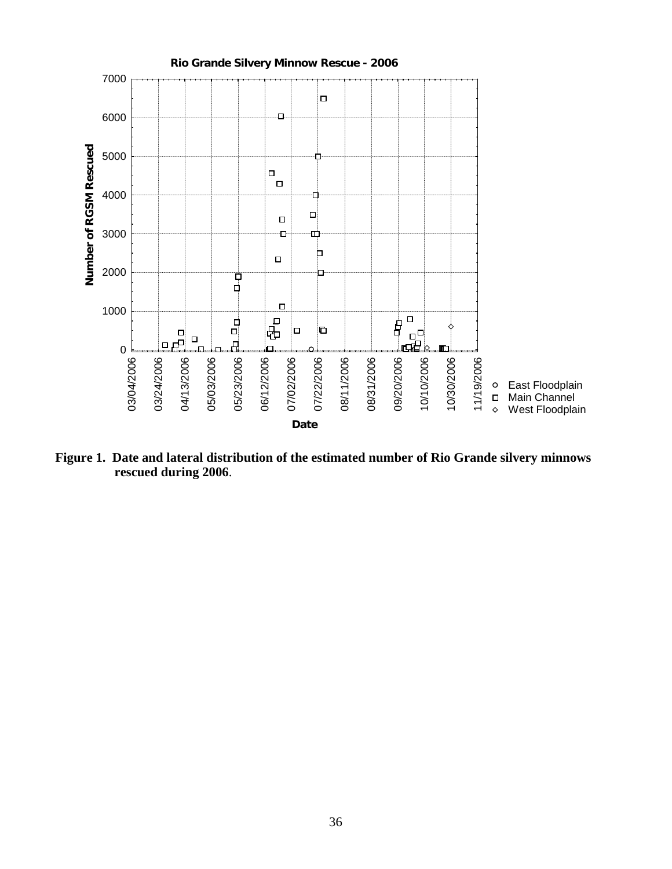<span id="page-35-0"></span>

**Figure 1. Date and lateral distribution of the estimated number of Rio Grande silvery minnows rescued during 2006**.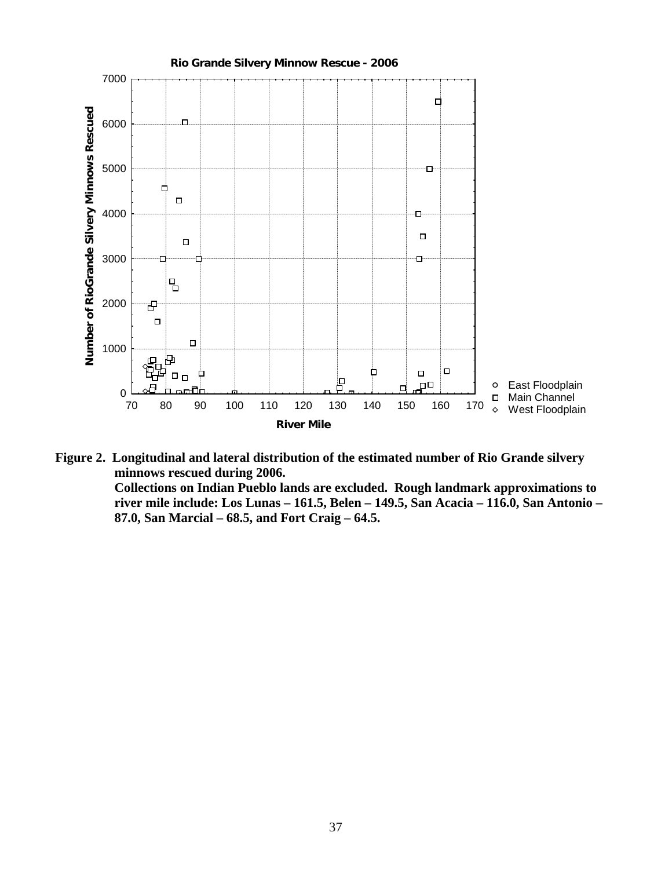<span id="page-36-0"></span>

**Figure 2. Longitudinal and lateral distribution of the estimated number of Rio Grande silvery minnows rescued during 2006. Collections on Indian Pueblo lands are excluded. Rough landmark approximations to river mile include: Los Lunas – 161.5, Belen – 149.5, San Acacia – 116.0, San Antonio – 87.0, San Marcial – 68.5, and Fort Craig – 64.5.**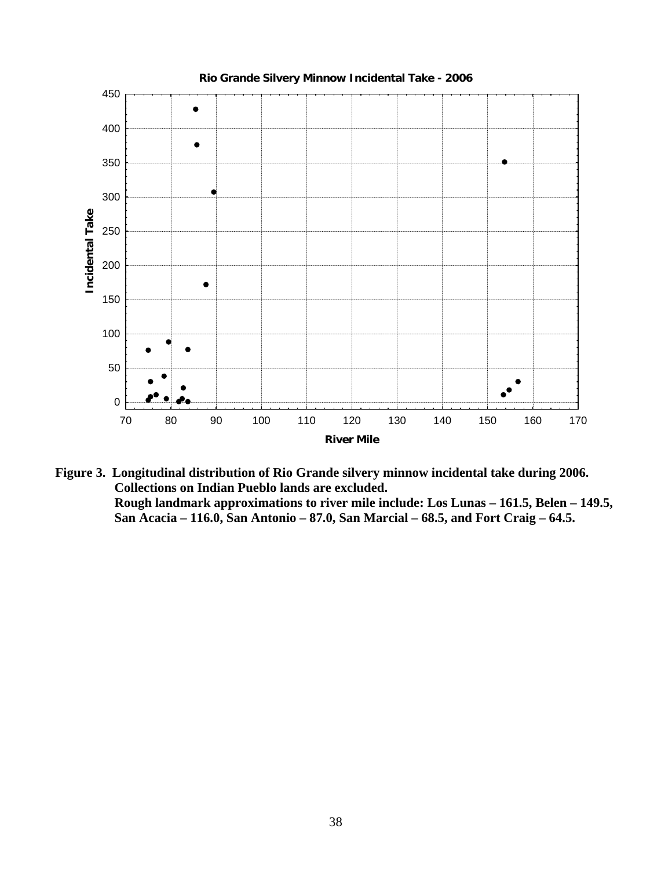<span id="page-37-0"></span>

**Figure 3. Longitudinal distribution of Rio Grande silvery minnow incidental take during 2006. Collections on Indian Pueblo lands are excluded. Rough landmark approximations to river mile include: Los Lunas – 161.5, Belen – 149.5, San Acacia – 116.0, San Antonio – 87.0, San Marcial – 68.5, and Fort Craig – 64.5.**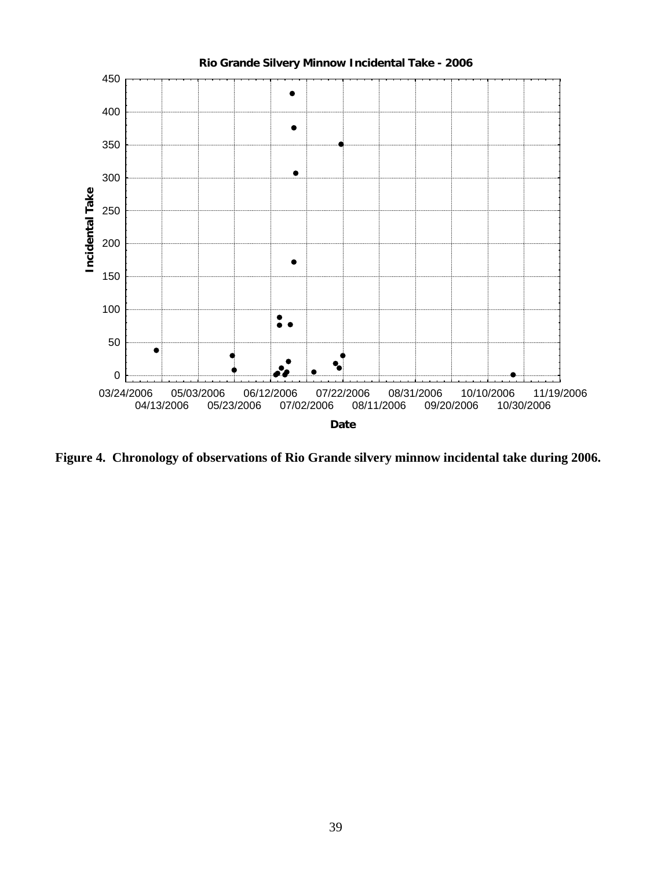<span id="page-38-0"></span>

**Figure 4. Chronology of observations of Rio Grande silvery minnow incidental take during 2006.**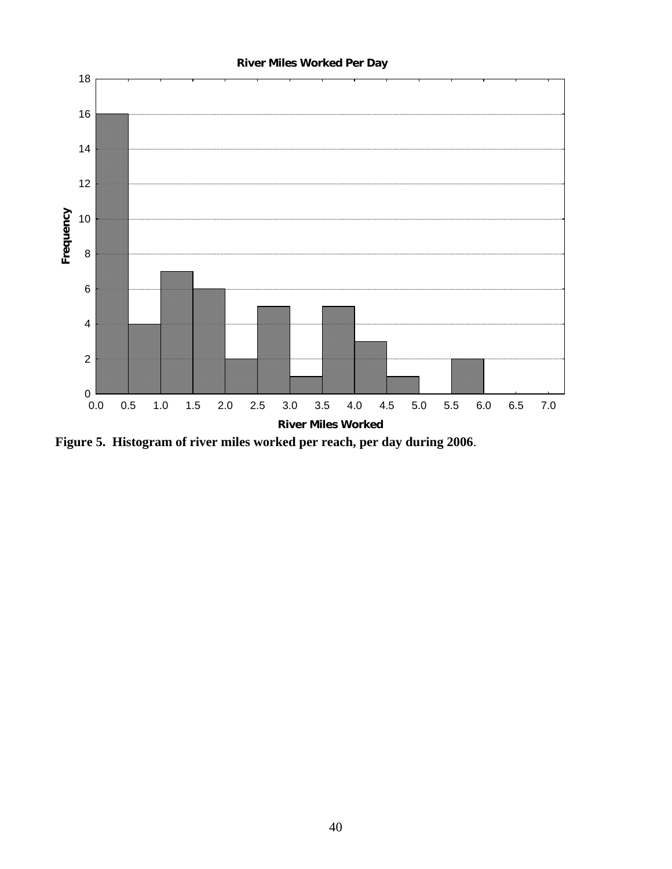<span id="page-39-0"></span>

**Figure 5. Histogram of river miles worked per reach, per day during 2006**.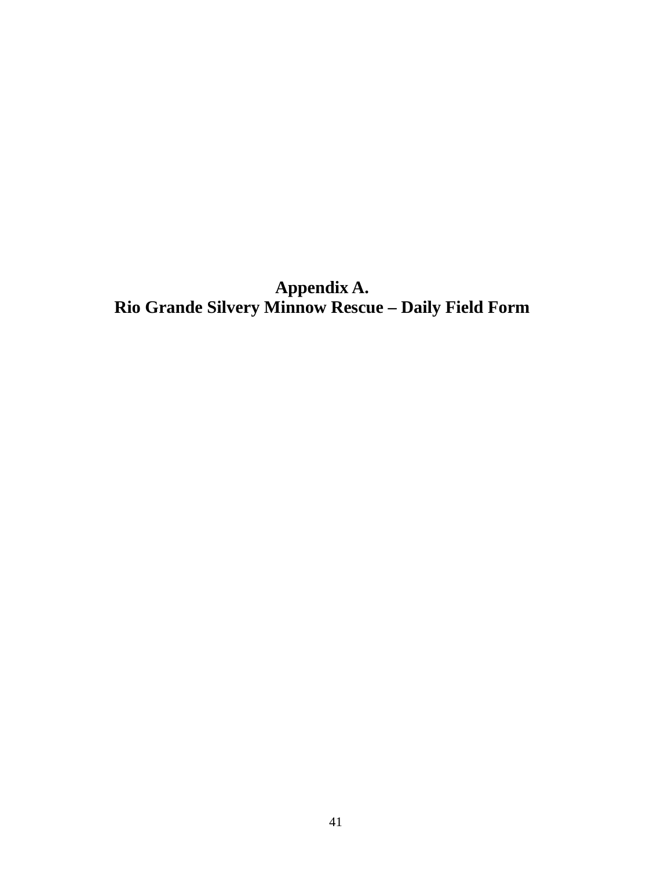<span id="page-40-0"></span>**Appendix A. Rio Grande Silvery Minnow Rescue – Daily Field Form**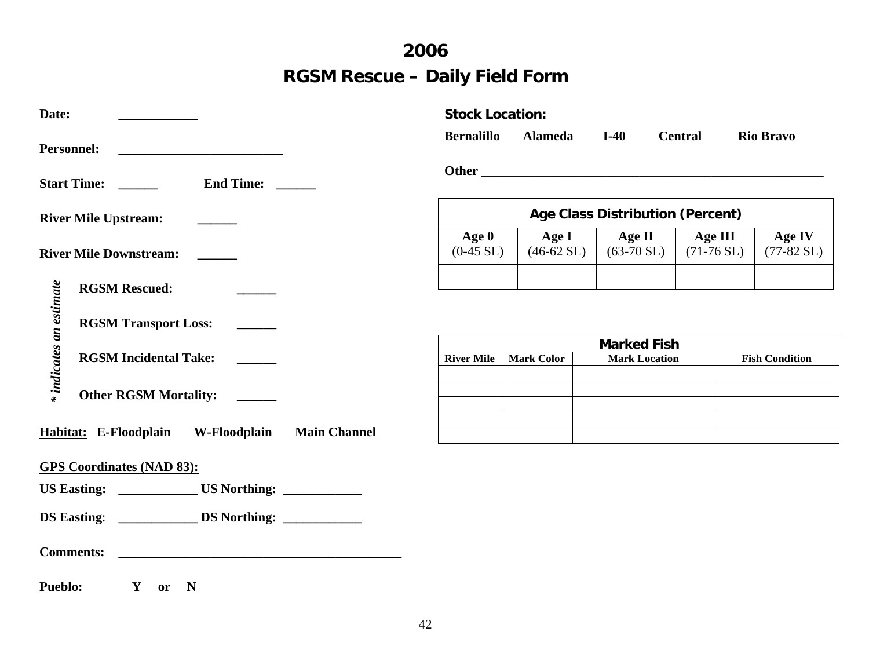# **2006 RGSM Rescue – Daily Field Form**

| Date:                                                                                                                                     | <b>Stock Location:</b>                  |                               |                                            |                                 |                                |
|-------------------------------------------------------------------------------------------------------------------------------------------|-----------------------------------------|-------------------------------|--------------------------------------------|---------------------------------|--------------------------------|
| <b>Personnel:</b><br><u> 1990 - Johann Barbara, martin amerikan ba</u>                                                                    | <b>Bernalillo</b>                       | <b>Alameda</b>                | $I-40$                                     | <b>Central</b>                  | <b>Rio Bravo</b>               |
| <b>End Time:</b><br>Start Time:                                                                                                           |                                         |                               |                                            |                                 |                                |
| <b>River Mile Upstream:</b>                                                                                                               | <b>Age Class Distribution (Percent)</b> |                               |                                            |                                 |                                |
| <b>River Mile Downstream:</b>                                                                                                             | Age $0$<br>$(0-45 SL)$                  | Age I<br>$(46-62 \text{ SL})$ | Age II<br>$(63-70 \text{ SL})$             | Age III<br>$(71-76 \text{ SL})$ | Age IV<br>$(77-82 \text{ SL})$ |
| <b>RGSM Rescued:</b>                                                                                                                      |                                         |                               |                                            |                                 |                                |
| * indicates an estimate<br><b>RGSM Transport Loss:</b>                                                                                    |                                         |                               |                                            |                                 |                                |
| <b>RGSM Incidental Take:</b>                                                                                                              | <b>River Mile</b>                       | <b>Mark Color</b>             | <b>Marked Fish</b><br><b>Mark Location</b> |                                 | <b>Fish Condition</b>          |
| <b>Other RGSM Mortality:</b>                                                                                                              |                                         |                               |                                            |                                 |                                |
| Habitat: E-Floodplain<br>W-Floodplain<br><b>Main Channel</b>                                                                              |                                         |                               |                                            |                                 |                                |
| <b>GPS Coordinates (NAD 83):</b>                                                                                                          |                                         |                               |                                            |                                 |                                |
|                                                                                                                                           |                                         |                               |                                            |                                 |                                |
| <b>Comments:</b><br><u> 1989 - Johann Barbara, martin amerikan basal dan berasal dan berasal dalam basal dan berasal dalam berasal da</u> |                                         |                               |                                            |                                 |                                |
| <b>Pueblo:</b><br>$\mathbf{Y}$<br>$\mathbf N$<br>or                                                                                       |                                         |                               |                                            |                                 |                                |